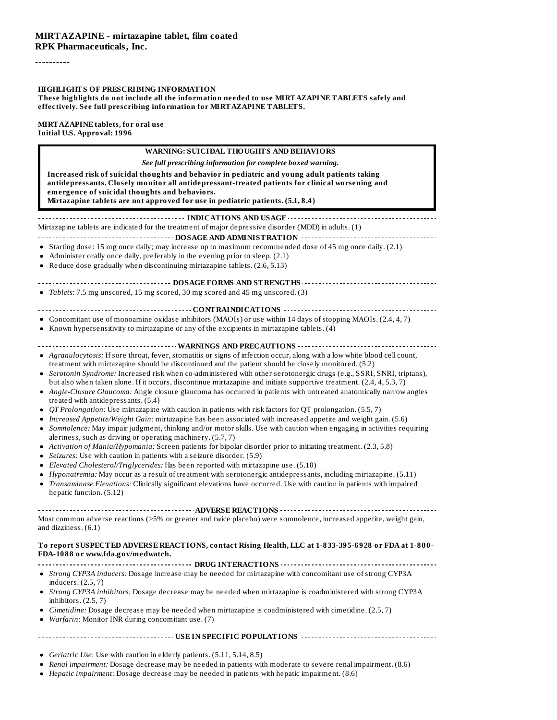----------

#### **HIGHLIGHTS OF PRESCRIBING INFORMATION**

**These highlights do not include all the information needed to use MIRTAZAPINE TABLETS safely and effectively. See full prescribing information for MIRTAZAPINE TABLETS.**

**MIRTAZAPINE tablets, for oral use Initial U.S. Approval: 1996**

| <b>WARNING: SUICIDAL THOUGHTS AND BEHAVIORS</b>                                                                                                                                                                                                                                                                                                                                                                                                                                                                                                                                                                                                                                                                                                                                                                                                                                                                                                                                                                                                                                                                                                                                                                                                                                                                                                                                                                                                                                                                                                                                                                                                   |
|---------------------------------------------------------------------------------------------------------------------------------------------------------------------------------------------------------------------------------------------------------------------------------------------------------------------------------------------------------------------------------------------------------------------------------------------------------------------------------------------------------------------------------------------------------------------------------------------------------------------------------------------------------------------------------------------------------------------------------------------------------------------------------------------------------------------------------------------------------------------------------------------------------------------------------------------------------------------------------------------------------------------------------------------------------------------------------------------------------------------------------------------------------------------------------------------------------------------------------------------------------------------------------------------------------------------------------------------------------------------------------------------------------------------------------------------------------------------------------------------------------------------------------------------------------------------------------------------------------------------------------------------------|
| See full prescribing information for complete boxed warning.                                                                                                                                                                                                                                                                                                                                                                                                                                                                                                                                                                                                                                                                                                                                                                                                                                                                                                                                                                                                                                                                                                                                                                                                                                                                                                                                                                                                                                                                                                                                                                                      |
| Increased risk of suicidal thoughts and behavior in pediatric and young adult patients taking<br>antidepressants. Closely monitor all antidepressant-treated patients for clinical worsening and<br>emergence of suicidal thoughts and behaviors.<br>Mirtazapine tablets are not approved for use in pediatric patients. (5.1, 8.4)                                                                                                                                                                                                                                                                                                                                                                                                                                                                                                                                                                                                                                                                                                                                                                                                                                                                                                                                                                                                                                                                                                                                                                                                                                                                                                               |
| Mirtazapine tablets are indicated for the treatment of major depressive disorder (MDD) in adults. (1)<br>• Starting dose: 15 mg once daily; may increase up to maximum recommended dose of 45 mg once daily. (2.1)<br>• Administer orally once daily, preferably in the evening prior to sleep. (2.1)<br>• Reduce dose gradually when discontinuing mirtazapine tablets. (2.6, 5.13)                                                                                                                                                                                                                                                                                                                                                                                                                                                                                                                                                                                                                                                                                                                                                                                                                                                                                                                                                                                                                                                                                                                                                                                                                                                              |
| ----------------------------- DOSAGE FORMS AND STRENGTHS -----------------------------                                                                                                                                                                                                                                                                                                                                                                                                                                                                                                                                                                                                                                                                                                                                                                                                                                                                                                                                                                                                                                                                                                                                                                                                                                                                                                                                                                                                                                                                                                                                                            |
| • Tablets: 7.5 mg unscored, 15 mg scored, 30 mg scored and 45 mg unscored. (3)                                                                                                                                                                                                                                                                                                                                                                                                                                                                                                                                                                                                                                                                                                                                                                                                                                                                                                                                                                                                                                                                                                                                                                                                                                                                                                                                                                                                                                                                                                                                                                    |
| • Concomitant use of monoamine oxidase inhibitors (MAOIs) or use within 14 days of stopping MAOIs. (2.4, 4, 7)<br>• Known hypersensitivity to mirtazapine or any of the excipients in mirtazapine tablets. (4)                                                                                                                                                                                                                                                                                                                                                                                                                                                                                                                                                                                                                                                                                                                                                                                                                                                                                                                                                                                                                                                                                                                                                                                                                                                                                                                                                                                                                                    |
|                                                                                                                                                                                                                                                                                                                                                                                                                                                                                                                                                                                                                                                                                                                                                                                                                                                                                                                                                                                                                                                                                                                                                                                                                                                                                                                                                                                                                                                                                                                                                                                                                                                   |
| • Agranulocytosis: If sore throat, fever, stomatitis or signs of infection occur, along with a low white blood cell count,<br>treatment with mirtazapine should be discontinued and the patient should be closely monitored. (5.2)<br>• Serotonin Syndrome: Increased risk when co-administered with other serotonergic drugs (e.g., SSRI, SNRI, triptans),<br>but also when taken alone. If it occurs, discontinue mirtazapine and initiate supportive treatment. (2.4, 4, 5.3, 7)<br>• Angle-Closure Glaucoma: Angle closure glaucoma has occurred in patients with untreated anatomically narrow angles<br>treated with antidepressants. (5.4)<br>• QT Prolongation: Use mirtazapine with caution in patients with risk factors for QT prolongation. (5.5, 7)<br>• Increased Appetite/Weight Gain: mirtazapine has been associated with increased appetite and weight gain. (5.6)<br>• Somnolence: May impair judgment, thinking and/or motor skills. Use with caution when engaging in activities requiring<br>alertness, such as driving or operating machinery. (5.7, 7)<br>• Activation of Mania/Hypomania: Screen patients for bipolar disorder prior to initiating treatment. (2.3, 5.8)<br>• Seizures: Use with caution in patients with a seizure disorder. (5.9)<br>• Elevated Cholesterol/Triglycerides: Has been reported with mirtazapine use. (5.10)<br>• Hyponatremia: May occur as a result of treatment with serotonergic antidepressants, including mirtazapine. (5.11)<br>• Transaminase Elevations: Clinically significant elevations have occurred. Use with caution in patients with impaired<br>hepatic function. (5.12) |
| Most common adverse reactions (≥5% or greater and twice placebo) were somnolence, increased appetite, weight gain,                                                                                                                                                                                                                                                                                                                                                                                                                                                                                                                                                                                                                                                                                                                                                                                                                                                                                                                                                                                                                                                                                                                                                                                                                                                                                                                                                                                                                                                                                                                                |
| and dizziness. (6.1)<br>To report SUSPECTED ADVERSE REACTIONS, contact Rising Health, LLC at 1-833-395-6928 or FDA at 1-800-<br>FDA-1088 or www.fda.gov/medwatch.                                                                                                                                                                                                                                                                                                                                                                                                                                                                                                                                                                                                                                                                                                                                                                                                                                                                                                                                                                                                                                                                                                                                                                                                                                                                                                                                                                                                                                                                                 |
|                                                                                                                                                                                                                                                                                                                                                                                                                                                                                                                                                                                                                                                                                                                                                                                                                                                                                                                                                                                                                                                                                                                                                                                                                                                                                                                                                                                                                                                                                                                                                                                                                                                   |
| • Strong CYP3A inducers: Dosage increase may be needed for mirtazapine with concomitant use of strong CYP3A<br>inducers. (2.5, 7)<br>• Strong CYP3A inhibitors: Dosage decrease may be needed when mirtazapine is coadministered with strong CYP3A                                                                                                                                                                                                                                                                                                                                                                                                                                                                                                                                                                                                                                                                                                                                                                                                                                                                                                                                                                                                                                                                                                                                                                                                                                                                                                                                                                                                |
| inhibitors. $(2.5, 7)$                                                                                                                                                                                                                                                                                                                                                                                                                                                                                                                                                                                                                                                                                                                                                                                                                                                                                                                                                                                                                                                                                                                                                                                                                                                                                                                                                                                                                                                                                                                                                                                                                            |
| • Cimetidine: Dosage decrease may be needed when mirtazapine is coadministered with cimetidine. (2.5, 7)<br>• Warfarin: Monitor INR during concomitant use. (7)                                                                                                                                                                                                                                                                                                                                                                                                                                                                                                                                                                                                                                                                                                                                                                                                                                                                                                                                                                                                                                                                                                                                                                                                                                                                                                                                                                                                                                                                                   |
|                                                                                                                                                                                                                                                                                                                                                                                                                                                                                                                                                                                                                                                                                                                                                                                                                                                                                                                                                                                                                                                                                                                                                                                                                                                                                                                                                                                                                                                                                                                                                                                                                                                   |

- *Geriatric Use*: Use with caution in elderly patients. (5.11, 5.14, 8.5)
- *Renal impairment:* Dosage decrease may be needed in patients with moderate to severe renal impairment. (8.6)
- *Hepatic impairment*: Dosage decrease may be needed in patients with hepatic impairment. (8.6)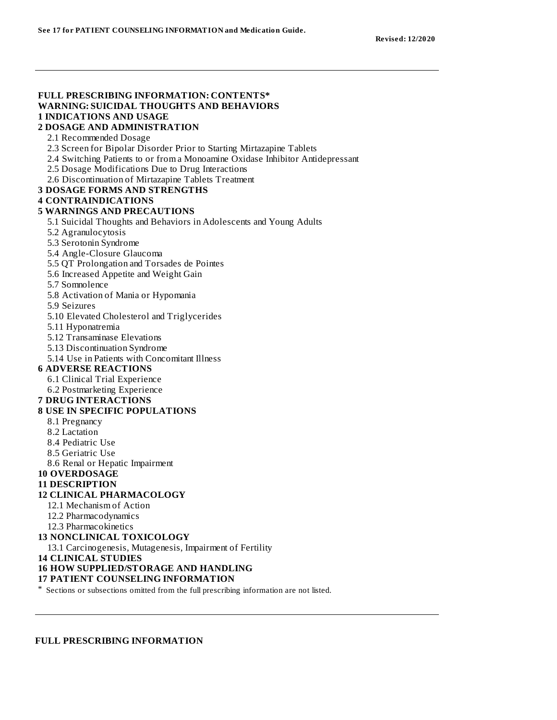## **FULL PRESCRIBING INFORMATION: CONTENTS\* WARNING: SUICIDAL THOUGHTS AND BEHAVIORS 1 INDICATIONS AND USAGE**

#### **2 DOSAGE AND ADMINISTRATION**

2.1 Recommended Dosage

2.3 Screen for Bipolar Disorder Prior to Starting Mirtazapine Tablets

- 2.4 Switching Patients to or from a Monoamine Oxidase Inhibitor Antidepressant
- 2.5 Dosage Modifications Due to Drug Interactions

2.6 Discontinuation of Mirtazapine Tablets Treatment

## **3 DOSAGE FORMS AND STRENGTHS**

## **4 CONTRAINDICATIONS**

#### **5 WARNINGS AND PRECAUTIONS**

5.1 Suicidal Thoughts and Behaviors in Adolescents and Young Adults

- 5.2 Agranulocytosis
- 5.3 Serotonin Syndrome
- 5.4 Angle-Closure Glaucoma
- 5.5 QT Prolongation and Torsades de Pointes
- 5.6 Increased Appetite and Weight Gain
- 5.7 Somnolence
- 5.8 Activation of Mania or Hypomania
- 5.9 Seizures
- 5.10 Elevated Cholesterol and Triglycerides
- 5.11 Hyponatremia
- 5.12 Transaminase Elevations
- 5.13 Discontinuation Syndrome
- 5.14 Use in Patients with Concomitant Illness

#### **6 ADVERSE REACTIONS**

- 6.1 Clinical Trial Experience
- 6.2 Postmarketing Experience

#### **7 DRUG INTERACTIONS**

#### **8 USE IN SPECIFIC POPULATIONS**

- 8.1 Pregnancy
- 8.2 Lactation
- 8.4 Pediatric Use
- 8.5 Geriatric Use
- 8.6 Renal or Hepatic Impairment

#### **10 OVERDOSAGE**

#### **11 DESCRIPTION**

#### **12 CLINICAL PHARMACOLOGY**

- 12.1 Mechanism of Action
- 12.2 Pharmacodynamics
- 12.3 Pharmacokinetics

#### **13 NONCLINICAL TOXICOLOGY**

- 13.1 Carcinogenesis, Mutagenesis, Impairment of Fertility
- **14 CLINICAL STUDIES**

#### **16 HOW SUPPLIED/STORAGE AND HANDLING**

#### **17 PATIENT COUNSELING INFORMATION**

\* Sections or subsections omitted from the full prescribing information are not listed.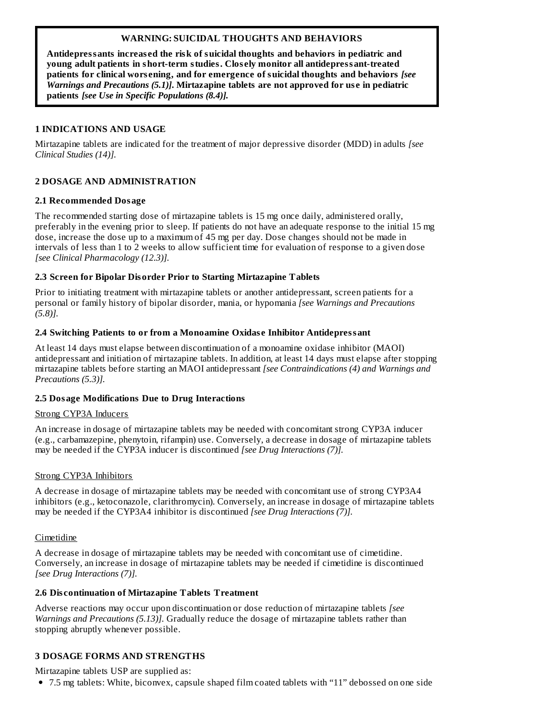## **WARNING: SUICIDAL THOUGHTS AND BEHAVIORS**

**Antidepressants increas ed the risk of suicidal thoughts and behaviors in pediatric and young adult patients in short-term studies. Clos ely monitor all antidepressant-treated patients for clinical wors ening, and for emergence of suicidal thoughts and behaviors** *[see Warnings and Precautions (5.1)]***. Mirtazapine tablets are not approved for us e in pediatric patients** *[see Use in Specific Populations (8.4)].*

## **1 INDICATIONS AND USAGE**

Mirtazapine tablets are indicated for the treatment of major depressive disorder (MDD) in adults *[see Clinical Studies (14)].*

## **2 DOSAGE AND ADMINISTRATION**

#### **2.1 Recommended Dosage**

The recommended starting dose of mirtazapine tablets is 15 mg once daily, administered orally, preferably in the evening prior to sleep. If patients do not have an adequate response to the initial 15 mg dose, increase the dose up to a maximum of 45 mg per day. Dose changes should not be made in intervals of less than 1 to 2 weeks to allow sufficient time for evaluation of response to a given dose *[see Clinical Pharmacology (12.3)].*

## **2.3 Screen for Bipolar Disorder Prior to Starting Mirtazapine Tablets**

Prior to initiating treatment with mirtazapine tablets or another antidepressant, screen patients for a personal or family history of bipolar disorder, mania, or hypomania *[see Warnings and Precautions (5.8)].*

## **2.4 Switching Patients to or from a Monoamine Oxidas e Inhibitor Antidepressant**

At least 14 days must elapse between discontinuation of a monoamine oxidase inhibitor (MAOI) antidepressant and initiation of mirtazapine tablets. In addition, at least 14 days must elapse after stopping mirtazapine tablets before starting an MAOI antidepressant *[see Contraindications (4) and Warnings and Precautions (5.3)].*

#### **2.5 Dosage Modifications Due to Drug Interactions**

#### Strong CYP3A Inducers

An increase in dosage of mirtazapine tablets may be needed with concomitant strong CYP3A inducer (e.g., carbamazepine, phenytoin, rifampin) use. Conversely, a decrease in dosage of mirtazapine tablets may be needed if the CYP3A inducer is discontinued *[see Drug Interactions (7)].*

#### Strong CYP3A Inhibitors

A decrease in dosage of mirtazapine tablets may be needed with concomitant use of strong CYP3A4 inhibitors (e.g., ketoconazole, clarithromycin). Conversely, an increase in dosage of mirtazapine tablets may be needed if the CYP3A4 inhibitor is discontinued *[see Drug Interactions (7)].*

## Cimetidine

A decrease in dosage of mirtazapine tablets may be needed with concomitant use of cimetidine. Conversely, an increase in dosage of mirtazapine tablets may be needed if cimetidine is discontinued *[see Drug Interactions (7)].*

#### **2.6 Dis continuation of Mirtazapine Tablets Treatment**

Adverse reactions may occur upon discontinuation or dose reduction of mirtazapine tablets *[see Warnings and Precautions (5.13)].* Gradually reduce the dosage of mirtazapine tablets rather than stopping abruptly whenever possible.

## **3 DOSAGE FORMS AND STRENGTHS**

Mirtazapine tablets USP are supplied as:

7.5 mg tablets: White, biconvex, capsule shaped film coated tablets with "11" debossed on one side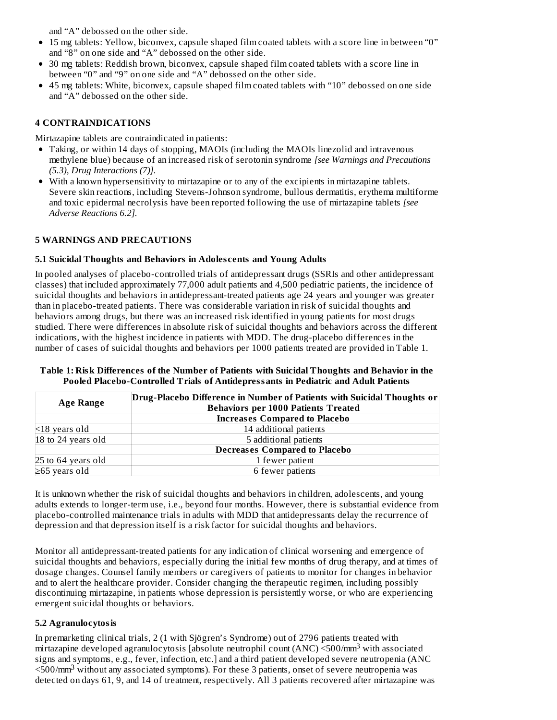and "A" debossed on the other side.

- 15 mg tablets: Yellow, biconvex, capsule shaped film coated tablets with a score line in between "0" and "8" on one side and "A" debossed on the other side.
- 30 mg tablets: Reddish brown, biconvex, capsule shaped film coated tablets with a score line in between "0" and "9" on one side and "A" debossed on the other side.
- 45 mg tablets: White, biconvex, capsule shaped film coated tablets with "10" debossed on one side and "A" debossed on the other side.

## **4 CONTRAINDICATIONS**

Mirtazapine tablets are contraindicated in patients:

- Taking, or within 14 days of stopping, MAOIs (including the MAOIs linezolid and intravenous methylene blue) because of an increased risk of serotonin syndrome *[see Warnings and Precautions (5.3), Drug Interactions (7)].*
- With a known hypersensitivity to mirtazapine or to any of the excipients in mirtazapine tablets. Severe skin reactions, including Stevens-Johnson syndrome, bullous dermatitis, erythema multiforme and toxic epidermal necrolysis have been reported following the use of mirtazapine tablets *[see Adverse Reactions 6.2].*

## **5 WARNINGS AND PRECAUTIONS**

## **5.1 Suicidal Thoughts and Behaviors in Adoles cents and Young Adults**

In pooled analyses of placebo-controlled trials of antidepressant drugs (SSRIs and other antidepressant classes) that included approximately 77,000 adult patients and 4,500 pediatric patients, the incidence of suicidal thoughts and behaviors in antidepressant-treated patients age 24 years and younger was greater than in placebo-treated patients. There was considerable variation in risk of suicidal thoughts and behaviors among drugs, but there was an increased risk identified in young patients for most drugs studied. There were differences in absolute risk of suicidal thoughts and behaviors across the different indications, with the highest incidence in patients with MDD. The drug-placebo differences in the number of cases of suicidal thoughts and behaviors per 1000 patients treated are provided in Table 1.

#### **Table 1: Risk Differences of the Number of Patients with Suicidal Thoughts and Behavior in the Pooled Placebo-Controlled Trials of Antidepressants in Pediatric and Adult Patients**

| <b>Age Range</b>    | Drug-Placebo Difference in Number of Patients with Suicidal Thoughts or<br><b>Behaviors per 1000 Patients Treated</b> |  |  |  |
|---------------------|-----------------------------------------------------------------------------------------------------------------------|--|--|--|
|                     | <b>Increases Compared to Placebo</b>                                                                                  |  |  |  |
| $\leq$ 18 years old | 14 additional patients                                                                                                |  |  |  |
| 18 to 24 years old  | 5 additional patients                                                                                                 |  |  |  |
|                     | <b>Decreases Compared to Placebo</b>                                                                                  |  |  |  |
| 25 to 64 years old  | 1 fewer patient                                                                                                       |  |  |  |
| $\geq$ 65 years old | 6 fewer patients                                                                                                      |  |  |  |

It is unknown whether the risk of suicidal thoughts and behaviors in children, adolescents, and young adults extends to longer-term use, i.e., beyond four months. However, there is substantial evidence from placebo-controlled maintenance trials in adults with MDD that antidepressants delay the recurrence of depression and that depression itself is a risk factor for suicidal thoughts and behaviors.

Monitor all antidepressant-treated patients for any indication of clinical worsening and emergence of suicidal thoughts and behaviors, especially during the initial few months of drug therapy, and at times of dosage changes. Counsel family members or caregivers of patients to monitor for changes in behavior and to alert the healthcare provider. Consider changing the therapeutic regimen, including possibly discontinuing mirtazapine, in patients whose depression is persistently worse, or who are experiencing emergent suicidal thoughts or behaviors.

## **5.2 Agranulocytosis**

In premarketing clinical trials, 2 (1 with Sjögren's Syndrome) out of 2796 patients treated with  $m$ rtazapine developed agranulocytosis [absolute neutrophil count (ANC) <500/mm<sup>3</sup> with associated signs and symptoms, e.g., fever, infection, etc.] and a third patient developed severe neutropenia (ANC <500/mm<sup>3</sup> without any associated symptoms). For these 3 patients, onset of severe neutropenia was detected on days 61, 9, and 14 of treatment, respectively. All 3 patients recovered after mirtazapine was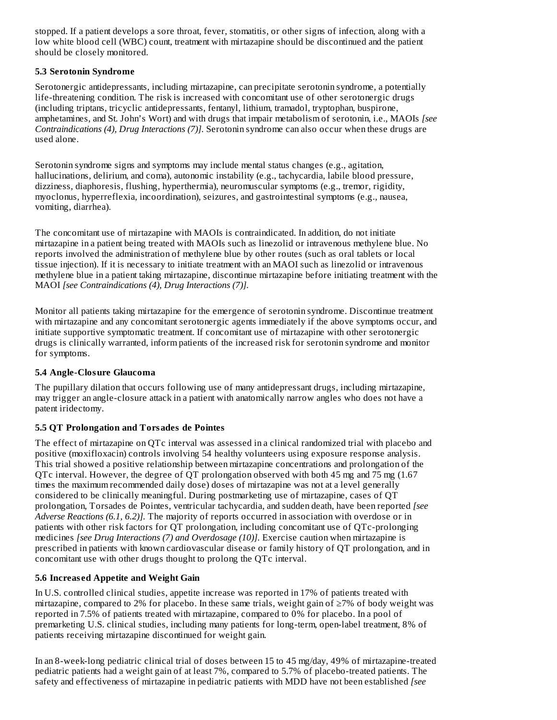stopped. If a patient develops a sore throat, fever, stomatitis, or other signs of infection, along with a low white blood cell (WBC) count, treatment with mirtazapine should be discontinued and the patient should be closely monitored.

## **5.3 Serotonin Syndrome**

Serotonergic antidepressants, including mirtazapine, can precipitate serotonin syndrome, a potentially life-threatening condition. The risk is increased with concomitant use of other serotonergic drugs (including triptans, tricyclic antidepressants, fentanyl, lithium, tramadol, tryptophan, buspirone, amphetamines, and St. John's Wort) and with drugs that impair metabolism of serotonin, i.e., MAOIs *[see Contraindications (4), Drug Interactions (7)].* Serotonin syndrome can also occur when these drugs are used alone.

Serotonin syndrome signs and symptoms may include mental status changes (e.g., agitation, hallucinations, delirium, and coma), autonomic instability (e.g., tachycardia, labile blood pressure, dizziness, diaphoresis, flushing, hyperthermia), neuromuscular symptoms (e.g., tremor, rigidity, myoclonus, hyperreflexia, incoordination), seizures, and gastrointestinal symptoms (e.g., nausea, vomiting, diarrhea).

The concomitant use of mirtazapine with MAOIs is contraindicated. In addition, do not initiate mirtazapine in a patient being treated with MAOIs such as linezolid or intravenous methylene blue. No reports involved the administration of methylene blue by other routes (such as oral tablets or local tissue injection). If it is necessary to initiate treatment with an MAOI such as linezolid or intravenous methylene blue in a patient taking mirtazapine, discontinue mirtazapine before initiating treatment with the MAOI *[see Contraindications (4), Drug Interactions (7)].*

Monitor all patients taking mirtazapine for the emergence of serotonin syndrome. Discontinue treatment with mirtazapine and any concomitant serotonergic agents immediately if the above symptoms occur, and initiate supportive symptomatic treatment. If concomitant use of mirtazapine with other serotonergic drugs is clinically warranted, inform patients of the increased risk for serotonin syndrome and monitor for symptoms.

## **5.4 Angle-Closure Glaucoma**

The pupillary dilation that occurs following use of many antidepressant drugs, including mirtazapine, may trigger an angle-closure attack in a patient with anatomically narrow angles who does not have a patent iridectomy.

# **5.5 QT Prolongation and Torsades de Pointes**

The effect of mirtazapine on QTc interval was assessed in a clinical randomized trial with placebo and positive (moxifloxacin) controls involving 54 healthy volunteers using exposure response analysis. This trial showed a positive relationship between mirtazapine concentrations and prolongation of the QTc interval. However, the degree of QT prolongation observed with both 45 mg and 75 mg (1.67 times the maximum recommended daily dose) doses of mirtazapine was not at a level generally considered to be clinically meaningful. During postmarketing use of mirtazapine, cases of QT prolongation, Torsades de Pointes, ventricular tachycardia, and sudden death, have been reported *[see Adverse Reactions (6.1, 6.2)].* The majority of reports occurred in association with overdose or in patients with other risk factors for QT prolongation, including concomitant use of QTc-prolonging medicines *[see Drug Interactions (7) and Overdosage (10)].* Exercise caution when mirtazapine is prescribed in patients with known cardiovascular disease or family history of QT prolongation, and in concomitant use with other drugs thought to prolong the QTc interval.

# **5.6 Increas ed Appetite and Weight Gain**

In U.S. controlled clinical studies, appetite increase was reported in 17% of patients treated with mirtazapine, compared to 2% for placebo. In these same trials, weight gain of  $\geq$ 7% of body weight was reported in 7.5% of patients treated with mirtazapine, compared to 0% for placebo. In a pool of premarketing U.S. clinical studies, including many patients for long-term, open-label treatment, 8% of patients receiving mirtazapine discontinued for weight gain.

In an 8-week-long pediatric clinical trial of doses between 15 to 45 mg/day, 49% of mirtazapine-treated pediatric patients had a weight gain of at least 7%, compared to 5.7% of placebo-treated patients. The safety and effectiveness of mirtazapine in pediatric patients with MDD have not been established *[see*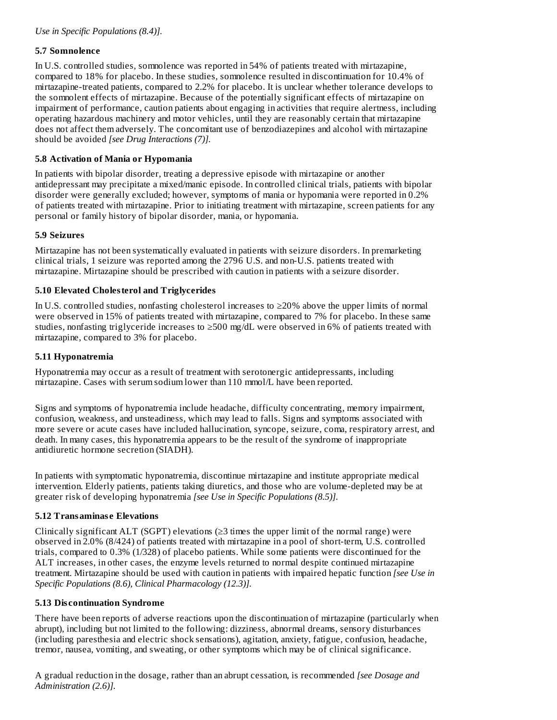## **5.7 Somnolence**

In U.S. controlled studies, somnolence was reported in 54% of patients treated with mirtazapine, compared to 18% for placebo. In these studies, somnolence resulted in discontinuation for 10.4% of mirtazapine-treated patients, compared to 2.2% for placebo. It is unclear whether tolerance develops to the somnolent effects of mirtazapine. Because of the potentially significant effects of mirtazapine on impairment of performance, caution patients about engaging in activities that require alertness, including operating hazardous machinery and motor vehicles, until they are reasonably certain that mirtazapine does not affect them adversely. The concomitant use of benzodiazepines and alcohol with mirtazapine should be avoided *[see Drug Interactions (7)].*

## **5.8 Activation of Mania or Hypomania**

In patients with bipolar disorder, treating a depressive episode with mirtazapine or another antidepressant may precipitate a mixed/manic episode. In controlled clinical trials, patients with bipolar disorder were generally excluded; however, symptoms of mania or hypomania were reported in 0.2% of patients treated with mirtazapine. Prior to initiating treatment with mirtazapine, screen patients for any personal or family history of bipolar disorder, mania, or hypomania.

# **5.9 Seizures**

Mirtazapine has not been systematically evaluated in patients with seizure disorders. In premarketing clinical trials, 1 seizure was reported among the 2796 U.S. and non-U.S. patients treated with mirtazapine. Mirtazapine should be prescribed with caution in patients with a seizure disorder.

# **5.10 Elevated Cholesterol and Triglycerides**

In U.S. controlled studies, nonfasting cholesterol increases to ≥20% above the upper limits of normal were observed in 15% of patients treated with mirtazapine, compared to 7% for placebo. In these same studies, nonfasting triglyceride increases to  $\geq$ 500 mg/dL were observed in 6% of patients treated with mirtazapine, compared to 3% for placebo.

# **5.11 Hyponatremia**

Hyponatremia may occur as a result of treatment with serotonergic antidepressants, including mirtazapine. Cases with serum sodium lower than 110 mmol/L have been reported.

Signs and symptoms of hyponatremia include headache, difficulty concentrating, memory impairment, confusion, weakness, and unsteadiness, which may lead to falls. Signs and symptoms associated with more severe or acute cases have included hallucination, syncope, seizure, coma, respiratory arrest, and death. In many cases, this hyponatremia appears to be the result of the syndrome of inappropriate antidiuretic hormone secretion (SIADH).

In patients with symptomatic hyponatremia, discontinue mirtazapine and institute appropriate medical intervention. Elderly patients, patients taking diuretics, and those who are volume-depleted may be at greater risk of developing hyponatremia *[see Use in Specific Populations (8.5)].*

## **5.12 Transaminas e Elevations**

Clinically significant ALT (SGPT) elevations  $(\geq)$  times the upper limit of the normal range) were observed in 2.0% (8/424) of patients treated with mirtazapine in a pool of short-term, U.S. controlled trials, compared to 0.3% (1/328) of placebo patients. While some patients were discontinued for the ALT increases, in other cases, the enzyme levels returned to normal despite continued mirtazapine treatment. Mirtazapine should be used with caution in patients with impaired hepatic function *[see Use in Specific Populations (8.6), Clinical Pharmacology (12.3)].*

## **5.13 Dis continuation Syndrome**

There have been reports of adverse reactions upon the discontinuation of mirtazapine (particularly when abrupt), including but not limited to the following: dizziness, abnormal dreams, sensory disturbances (including paresthesia and electric shock sensations), agitation, anxiety, fatigue, confusion, headache, tremor, nausea, vomiting, and sweating, or other symptoms which may be of clinical significance.

A gradual reduction in the dosage, rather than an abrupt cessation, is recommended *[see Dosage and Administration (2.6)].*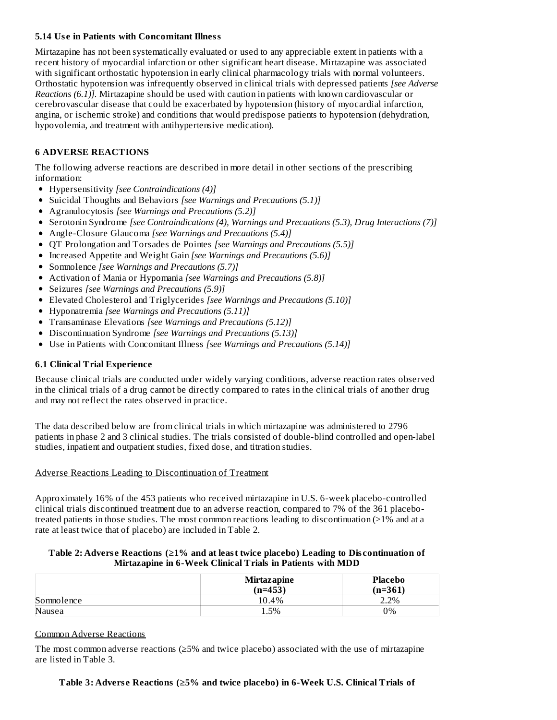### **5.14 Us e in Patients with Concomitant Illness**

Mirtazapine has not been systematically evaluated or used to any appreciable extent in patients with a recent history of myocardial infarction or other significant heart disease. Mirtazapine was associated with significant orthostatic hypotension in early clinical pharmacology trials with normal volunteers. Orthostatic hypotension was infrequently observed in clinical trials with depressed patients *[see Adverse Reactions (6.1)].* Mirtazapine should be used with caution in patients with known cardiovascular or cerebrovascular disease that could be exacerbated by hypotension (history of myocardial infarction, angina, or ischemic stroke) and conditions that would predispose patients to hypotension (dehydration, hypovolemia, and treatment with antihypertensive medication).

# **6 ADVERSE REACTIONS**

The following adverse reactions are described in more detail in other sections of the prescribing information:

- Hypersensitivity *[see Contraindications (4)]*
- Suicidal Thoughts and Behaviors *[see Warnings and Precautions (5.1)]*
- Agranulocytosis *[see Warnings and Precautions (5.2)]*
- Serotonin Syndrome *[see Contraindications (4), Warnings and Precautions (5.3), Drug Interactions (7)]*
- Angle-Closure Glaucoma *[see Warnings and Precautions (5.4)]*
- QT Prolongation and Torsades de Pointes *[see Warnings and Precautions (5.5)]*
- Increased Appetite and Weight Gain *[see Warnings and Precautions (5.6)]*
- Somnolence *[see Warnings and Precautions (5.7)]*
- Activation of Mania or Hypomania *[see Warnings and Precautions (5.8)]*
- Seizures *[see Warnings and Precautions (5.9)]*
- Elevated Cholesterol and Triglycerides *[see Warnings and Precautions (5.10)]*
- Hyponatremia *[see Warnings and Precautions (5.11)]*
- Transaminase Elevations *[see Warnings and Precautions (5.12)]*
- Discontinuation Syndrome *[see Warnings and Precautions (5.13)]*
- Use in Patients with Concomitant Illness *[see Warnings and Precautions (5.14)]*

## **6.1 Clinical Trial Experience**

Because clinical trials are conducted under widely varying conditions, adverse reaction rates observed in the clinical trials of a drug cannot be directly compared to rates in the clinical trials of another drug and may not reflect the rates observed in practice.

The data described below are from clinical trials in which mirtazapine was administered to 2796 patients in phase 2 and 3 clinical studies. The trials consisted of double-blind controlled and open-label studies, inpatient and outpatient studies, fixed dose, and titration studies.

#### Adverse Reactions Leading to Discontinuation of Treatment

Approximately 16% of the 453 patients who received mirtazapine in U.S. 6-week placebo-controlled clinical trials discontinued treatment due to an adverse reaction, compared to 7% of the 361 placebotreated patients in those studies. The most common reactions leading to discontinuation (≥1% and at a rate at least twice that of placebo) are included in Table 2.

#### **Table 2: Advers e Reactions (≥1% and at least twice placebo) Leading to Dis continuation of Mirtazapine in 6-Week Clinical Trials in Patients with MDD**

|            | <b>Mirtazapine</b><br>(n=453) | Placebo<br>(n=361) |
|------------|-------------------------------|--------------------|
| Somnolence | 10.4%                         | 2.2%               |
| Nausea     | 5%                            | 9%                 |

#### Common Adverse Reactions

The most common adverse reactions (≥5% and twice placebo) associated with the use of mirtazapine are listed in Table 3.

**Table 3: Advers e Reactions (≥5% and twice placebo) in 6-Week U.S. Clinical Trials of**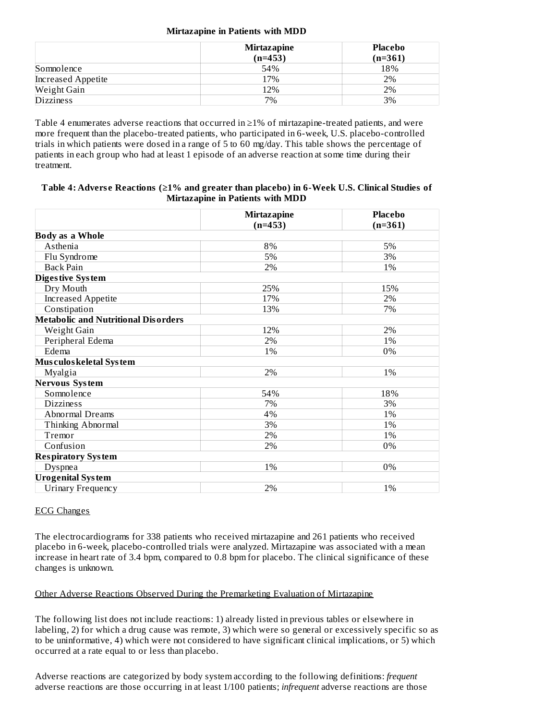#### **Mirtazapine in Patients with MDD**

|                    | <b>Mirtazapine</b><br>$(n=453)$ | Placebo<br>$(n=361)$ |
|--------------------|---------------------------------|----------------------|
| Somnolence         | 54%                             | 18%                  |
| Increased Appetite | 17%                             | 2%                   |
| Weight Gain        | 12%                             | 2%                   |
| <b>Dizziness</b>   | 7%                              | 3%                   |

Table 4 enumerates adverse reactions that occurred in ≥1% of mirtazapine-treated patients, and were more frequent than the placebo-treated patients, who participated in 6-week, U.S. placebo-controlled trials in which patients were dosed in a range of 5 to 60 mg/day. This table shows the percentage of patients in each group who had at least 1 episode of an adverse reaction at some time during their treatment.

| Table 4: Adverse Reactions ( $\geq$ 1% and greater than placebo) in 6-Week U.S. Clinical Studies of |
|-----------------------------------------------------------------------------------------------------|
| Mirtazapine in Patients with MDD                                                                    |

|                                            | <b>Mirtazapine</b> | <b>Placebo</b> |  |
|--------------------------------------------|--------------------|----------------|--|
|                                            | $(n=453)$          | $(n=361)$      |  |
| <b>Body as a Whole</b>                     |                    |                |  |
| Asthenia                                   | 8%                 | 5%             |  |
| Flu Syndrome                               | 5%                 | 3%             |  |
| <b>Back Pain</b>                           | 2%                 | 1%             |  |
| Diges tive System                          |                    |                |  |
| Dry Mouth                                  | 25%                | 15%            |  |
| <b>Increased Appetite</b>                  | 17%                | 2%             |  |
| Constipation                               | 13%                | 7%             |  |
| <b>Metabolic and Nutritional Disorders</b> |                    |                |  |
| Weight Gain                                | 12%                | 2%             |  |
| Peripheral Edema                           | 2%                 | 1%             |  |
| Edema                                      | 1%                 | 0%             |  |
| Mus culos keletal System                   |                    |                |  |
| Myalgia                                    | 2%                 | 1%             |  |
| <b>Nervous System</b>                      |                    |                |  |
| Somnolence                                 | 54%                | 18%            |  |
| <b>Dizziness</b>                           | 7%                 | 3%             |  |
| Abnormal Dreams                            | 4%                 | 1%             |  |
| Thinking Abnormal                          | 3%                 | 1%             |  |
| Tremor                                     | 2%                 | 1%             |  |
| Confusion                                  | 2%                 | 0%             |  |
| <b>Respiratory System</b>                  |                    |                |  |
| Dyspnea                                    | 1%                 | 0%             |  |
| <b>Urogenital System</b>                   |                    |                |  |
| Urinary Frequency                          | 2%                 | 1%             |  |

#### ECG Changes

The electrocardiograms for 338 patients who received mirtazapine and 261 patients who received placebo in 6-week, placebo-controlled trials were analyzed. Mirtazapine was associated with a mean increase in heart rate of 3.4 bpm, compared to 0.8 bpm for placebo. The clinical significance of these changes is unknown.

#### Other Adverse Reactions Observed During the Premarketing Evaluation of Mirtazapine

The following list does not include reactions: 1) already listed in previous tables or elsewhere in labeling, 2) for which a drug cause was remote, 3) which were so general or excessively specific so as to be uninformative, 4) which were not considered to have significant clinical implications, or 5) which occurred at a rate equal to or less than placebo.

Adverse reactions are categorized by body system according to the following definitions: *frequent* adverse reactions are those occurring in at least 1/100 patients; *infrequent* adverse reactions are those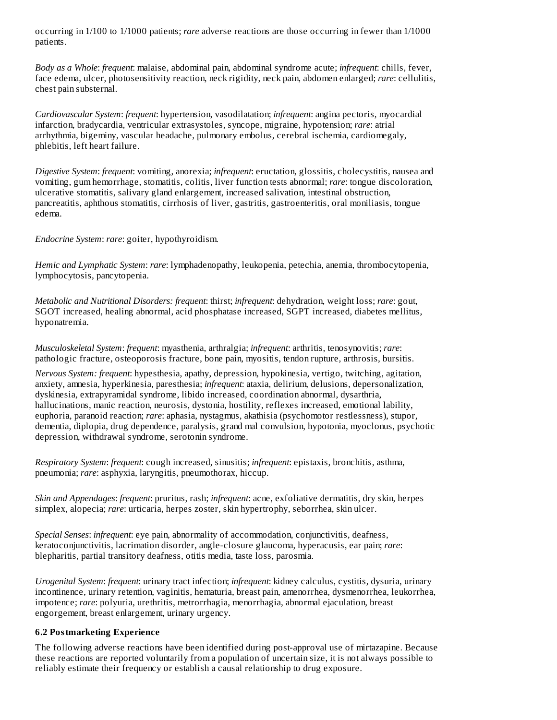occurring in 1/100 to 1/1000 patients; *rare* adverse reactions are those occurring in fewer than 1/1000 patients.

*Body as a Whole*: *frequent*: malaise, abdominal pain, abdominal syndrome acute; *infrequent*: chills, fever, face edema, ulcer, photosensitivity reaction, neck rigidity, neck pain, abdomen enlarged; *rare*: cellulitis, chest pain substernal.

*Cardiovascular System*: *frequent*: hypertension, vasodilatation; *infrequent*: angina pectoris, myocardial infarction, bradycardia, ventricular extrasystoles, syncope, migraine, hypotension; *rare*: atrial arrhythmia, bigeminy, vascular headache, pulmonary embolus, cerebral ischemia, cardiomegaly, phlebitis, left heart failure.

*Digestive System*: *frequent*: vomiting, anorexia; *infrequent*: eructation, glossitis, cholecystitis, nausea and vomiting, gum hemorrhage, stomatitis, colitis, liver function tests abnormal; *rare*: tongue discoloration, ulcerative stomatitis, salivary gland enlargement, increased salivation, intestinal obstruction, pancreatitis, aphthous stomatitis, cirrhosis of liver, gastritis, gastroenteritis, oral moniliasis, tongue edema.

*Endocrine System*: *rare*: goiter, hypothyroidism.

*Hemic and Lymphatic System*: *rare*: lymphadenopathy, leukopenia, petechia, anemia, thrombocytopenia, lymphocytosis, pancytopenia.

*Metabolic and Nutritional Disorders: frequent*: thirst; *infrequent*: dehydration, weight loss; *rare*: gout, SGOT increased, healing abnormal, acid phosphatase increased, SGPT increased, diabetes mellitus, hyponatremia.

*Musculoskeletal System*: *frequent*: myasthenia, arthralgia; *infrequent*: arthritis, tenosynovitis; *rare*: pathologic fracture, osteoporosis fracture, bone pain, myositis, tendon rupture, arthrosis, bursitis.

*Nervous System: frequent*: hypesthesia, apathy, depression, hypokinesia, vertigo, twitching, agitation, anxiety, amnesia, hyperkinesia, paresthesia; *infrequent*: ataxia, delirium, delusions, depersonalization, dyskinesia, extrapyramidal syndrome, libido increased, coordination abnormal, dysarthria, hallucinations, manic reaction, neurosis, dystonia, hostility, reflexes increased, emotional lability, euphoria, paranoid reaction; *rare*: aphasia, nystagmus, akathisia (psychomotor restlessness), stupor, dementia, diplopia, drug dependence, paralysis, grand mal convulsion, hypotonia, myoclonus, psychotic depression, withdrawal syndrome, serotonin syndrome.

*Respiratory System*: *frequent*: cough increased, sinusitis; *infrequent*: epistaxis, bronchitis, asthma, pneumonia; *rare*: asphyxia, laryngitis, pneumothorax, hiccup.

*Skin and Appendages*: *frequent*: pruritus, rash; *infrequent*: acne, exfoliative dermatitis, dry skin, herpes simplex, alopecia; *rare*: urticaria, herpes zoster, skin hypertrophy, seborrhea, skin ulcer.

*Special Senses*: *infrequent*: eye pain, abnormality of accommodation, conjunctivitis, deafness, keratoconjunctivitis, lacrimation disorder, angle-closure glaucoma, hyperacusis, ear pain; *rare*: blepharitis, partial transitory deafness, otitis media, taste loss, parosmia.

*Urogenital System*: *frequent*: urinary tract infection; *infrequent*: kidney calculus, cystitis, dysuria, urinary incontinence, urinary retention, vaginitis, hematuria, breast pain, amenorrhea, dysmenorrhea, leukorrhea, impotence; *rare*: polyuria, urethritis, metrorrhagia, menorrhagia, abnormal ejaculation, breast engorgement, breast enlargement, urinary urgency.

#### **6.2 Postmarketing Experience**

The following adverse reactions have been identified during post-approval use of mirtazapine. Because these reactions are reported voluntarily from a population of uncertain size, it is not always possible to reliably estimate their frequency or establish a causal relationship to drug exposure.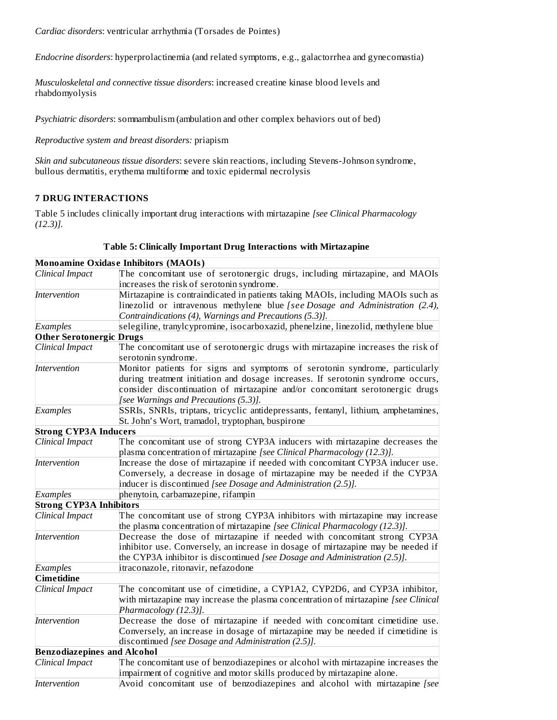*Cardiac disorders*: ventricular arrhythmia (Torsades de Pointes)

*Endocrine disorders*: hyperprolactinemia (and related symptoms, e.g., galactorrhea and gynecomastia)

*Musculoskeletal and connective tissue disorders*: increased creatine kinase blood levels and rhabdomyolysis

*Psychiatric disorders*: somnambulism (ambulation and other complex behaviors out of bed)

*Reproductive system and breast disorders:* priapism

*Skin and subcutaneous tissue disorders*: severe skin reactions, including Stevens-Johnson syndrome, bullous dermatitis, erythema multiforme and toxic epidermal necrolysis

## **7 DRUG INTERACTIONS**

Table 5 includes clinically important drug interactions with mirtazapine *[see Clinical Pharmacology (12.3)].*

|                                    | Monoamine Oxidase Inhibitors (MAOIs)                                                |  |  |  |
|------------------------------------|-------------------------------------------------------------------------------------|--|--|--|
| Clinical Impact                    | The concomitant use of serotonergic drugs, including mirtazapine, and MAOIs         |  |  |  |
|                                    | increases the risk of serotonin syndrome.                                           |  |  |  |
| Intervention                       | Mirtazapine is contraindicated in patients taking MAOIs, including MAOIs such as    |  |  |  |
|                                    | linezolid or intravenous methylene blue [see Dosage and Administration (2.4),       |  |  |  |
|                                    | Contraindications (4), Warnings and Precautions (5.3)].                             |  |  |  |
| Examples                           | selegiline, tranylcypromine, isocarboxazid, phenelzine, linezolid, methylene blue   |  |  |  |
| <b>Other Serotonergic Drugs</b>    |                                                                                     |  |  |  |
| Clinical Impact                    | The concomitant use of serotonergic drugs with mirtazapine increases the risk of    |  |  |  |
|                                    | serotonin syndrome.                                                                 |  |  |  |
| Intervention                       | Monitor patients for signs and symptoms of serotonin syndrome, particularly         |  |  |  |
|                                    | during treatment initiation and dosage increases. If serotonin syndrome occurs,     |  |  |  |
|                                    | consider discontinuation of mirtazapine and/or concomitant serotonergic drugs       |  |  |  |
|                                    | [see Warnings and Precautions (5.3)].                                               |  |  |  |
| Examples                           | SSRIs, SNRIs, triptans, tricyclic antidepressants, fentanyl, lithium, amphetamines, |  |  |  |
|                                    | St. John's Wort, tramadol, tryptophan, buspirone                                    |  |  |  |
| <b>Strong CYP3A Inducers</b>       |                                                                                     |  |  |  |
| Clinical Impact                    | The concomitant use of strong CYP3A inducers with mirtazapine decreases the         |  |  |  |
|                                    | plasma concentration of mirtazapine [see Clinical Pharmacology (12.3)].             |  |  |  |
| Intervention                       | Increase the dose of mirtazapine if needed with concomitant CYP3A inducer use.      |  |  |  |
|                                    | Conversely, a decrease in dosage of mirtazapine may be needed if the CYP3A          |  |  |  |
|                                    | inducer is discontinued [see Dosage and Administration (2.5)].                      |  |  |  |
| Examples                           | phenytoin, carbamazepine, rifampin                                                  |  |  |  |
| <b>Strong CYP3A Inhibitors</b>     |                                                                                     |  |  |  |
| Clinical Impact                    | The concomitant use of strong CYP3A inhibitors with mirtazapine may increase        |  |  |  |
|                                    | the plasma concentration of mirtazapine [see Clinical Pharmacology (12.3)].         |  |  |  |
| Intervention                       | Decrease the dose of mirtazapine if needed with concomitant strong CYP3A            |  |  |  |
|                                    | inhibitor use. Conversely, an increase in dosage of mirtazapine may be needed if    |  |  |  |
|                                    | the CYP3A inhibitor is discontinued [see Dosage and Administration (2.5)].          |  |  |  |
| Examples                           | itraconazole, ritonavir, nefazodone                                                 |  |  |  |
| <b>Cimetidine</b>                  |                                                                                     |  |  |  |
| Clinical Impact                    | The concomitant use of cimetidine, a CYP1A2, CYP2D6, and CYP3A inhibitor,           |  |  |  |
|                                    | with mirtazapine may increase the plasma concentration of mirtazapine [see Clinical |  |  |  |
|                                    | Pharmacology (12.3)].                                                               |  |  |  |
| Intervention                       | Decrease the dose of mirtazapine if needed with concomitant cimetidine use.         |  |  |  |
|                                    | Conversely, an increase in dosage of mirtazapine may be needed if cimetidine is     |  |  |  |
|                                    | discontinued [see Dosage and Administration (2.5)].                                 |  |  |  |
| <b>Benzodiazepines and Alcohol</b> |                                                                                     |  |  |  |
| Clinical Impact                    | The concomitant use of benzodiazepines or alcohol with mirtazapine increases the    |  |  |  |
|                                    | impairment of cognitive and motor skills produced by mirtazapine alone.             |  |  |  |
| Intervention                       | Avoid concomitant use of benzodiazepines and alcohol with mirtazapine [see]         |  |  |  |

#### **Table 5: Clinically Important Drug Interactions with Mirtazapine**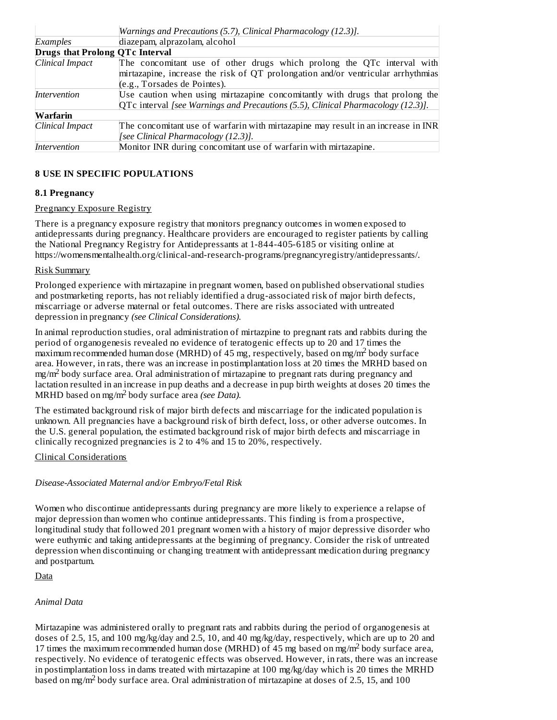|                                        | Warnings and Precautions (5.7), Clinical Pharmacology (12.3)].                    |  |  |  |  |
|----------------------------------------|-----------------------------------------------------------------------------------|--|--|--|--|
| Examples                               | diazepam, alprazolam, alcohol                                                     |  |  |  |  |
| <b>Drugs that Prolong QTc Interval</b> |                                                                                   |  |  |  |  |
| Clinical Impact                        | The concomitant use of other drugs which prolong the QTc interval with            |  |  |  |  |
|                                        | mirtazapine, increase the risk of QT prolongation and/or ventricular arrhythmias  |  |  |  |  |
|                                        | (e.g., Torsades de Pointes).                                                      |  |  |  |  |
| Intervention                           | Use caution when using mirtazapine concomitantly with drugs that prolong the      |  |  |  |  |
|                                        | QTc interval [see Warnings and Precautions (5.5), Clinical Pharmacology (12.3)].  |  |  |  |  |
| Warfarin                               |                                                                                   |  |  |  |  |
| Clinical Impact                        | The concomitant use of warfarin with mirtazapine may result in an increase in INR |  |  |  |  |
|                                        | [see Clinical Pharmacology (12.3)].                                               |  |  |  |  |
| Intervention                           | Monitor INR during concomitant use of warfarin with mirtazapine.                  |  |  |  |  |

## **8 USE IN SPECIFIC POPULATIONS**

## **8.1 Pregnancy**

## Pregnancy Exposure Registry

There is a pregnancy exposure registry that monitors pregnancy outcomes in women exposed to antidepressants during pregnancy. Healthcare providers are encouraged to register patients by calling the National Pregnancy Registry for Antidepressants at 1-844-405-6185 or visiting online at https://womensmentalhealth.org/clinical-and-research-programs/pregnancyregistry/antidepressants/.

## Risk Summary

Prolonged experience with mirtazapine in pregnant women, based on published observational studies and postmarketing reports, has not reliably identified a drug-associated risk of major birth defects, miscarriage or adverse maternal or fetal outcomes. There are risks associated with untreated depression in pregnancy *(see Clinical Considerations).*

In animal reproduction studies, oral administration of mirtazpine to pregnant rats and rabbits during the period of organogenesis revealed no evidence of teratogenic effects up to 20 and 17 times the  $\overline{\phantom{a}}$  maximum recommended human dose (MRHD) of 45 mg, respectively, based on mg/m<sup>2</sup> body surface area. However, in rats, there was an increase in postimplantation loss at 20 times the MRHD based on  $mg/m<sup>2</sup>$  body surface area. Oral administration of mirtazapine to pregnant rats during pregnancy and lactation resulted in an increase in pup deaths and a decrease in pup birth weights at doses 20 times the MRHD based on mg/m<sup>2</sup> body surface area *(see Data)*.

The estimated background risk of major birth defects and miscarriage for the indicated population is unknown. All pregnancies have a background risk of birth defect, loss, or other adverse outcomes. In the U.S. general population, the estimated background risk of major birth defects and miscarriage in clinically recognized pregnancies is 2 to 4% and 15 to 20%, respectively.

## Clinical Considerations

## *Disease-Associated Maternal and/or Embryo/Fetal Risk*

Women who discontinue antidepressants during pregnancy are more likely to experience a relapse of major depression than women who continue antidepressants. This finding is from a prospective, longitudinal study that followed 201 pregnant women with a history of major depressive disorder who were euthymic and taking antidepressants at the beginning of pregnancy. Consider the risk of untreated depression when discontinuing or changing treatment with antidepressant medication during pregnancy and postpartum.

## Data

# *Animal Data*

Mirtazapine was administered orally to pregnant rats and rabbits during the period of organogenesis at doses of 2.5, 15, and 100 mg/kg/day and 2.5, 10, and 40 mg/kg/day, respectively, which are up to 20 and 17 times the maximum recommended human dose (MRHD) of 45 mg based on mg/m<sup>2</sup> body surface area, respectively. No evidence of teratogenic effects was observed. However, in rats, there was an increase in postimplantation loss in dams treated with mirtazapine at 100 mg/kg/day which is 20 times the MRHD based on mg/m<sup>2</sup> body surface area. Oral administration of mirtazapine at doses of 2.5, 15, and 100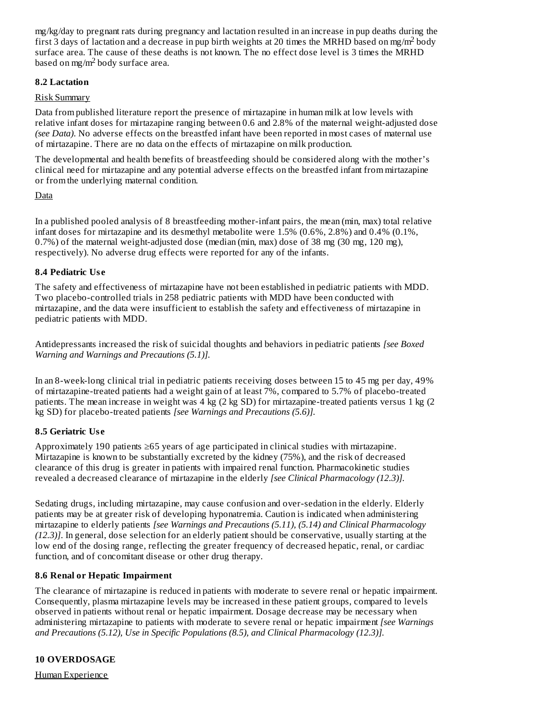mg/kg/day to pregnant rats during pregnancy and lactation resulted in an increase in pup deaths during the first 3 days of lactation and a decrease in pup birth weights at 20 times the MRHD based on mg/m<sup>2</sup> body surface area. The cause of these deaths is not known. The no effect dose level is 3 times the MRHD based on mg/m<sup>2</sup> body surface area.

## **8.2 Lactation**

## Risk Summary

Data from published literature report the presence of mirtazapine in human milk at low levels with relative infant doses for mirtazapine ranging between 0.6 and 2.8% of the maternal weight-adjusted dose *(see Data)*. No adverse effects on the breastfed infant have been reported in most cases of maternal use of mirtazapine. There are no data on the effects of mirtazapine on milk production.

The developmental and health benefits of breastfeeding should be considered along with the mother's clinical need for mirtazapine and any potential adverse effects on the breastfed infant from mirtazapine or from the underlying maternal condition.

## **Data**

In a published pooled analysis of 8 breastfeeding mother-infant pairs, the mean (min, max) total relative infant doses for mirtazapine and its desmethyl metabolite were 1.5% (0.6%, 2.8%) and 0.4% (0.1%, 0.7%) of the maternal weight-adjusted dose (median (min, max) dose of 38 mg (30 mg, 120 mg), respectively). No adverse drug effects were reported for any of the infants.

## **8.4 Pediatric Us e**

The safety and effectiveness of mirtazapine have not been established in pediatric patients with MDD. Two placebo-controlled trials in 258 pediatric patients with MDD have been conducted with mirtazapine, and the data were insufficient to establish the safety and effectiveness of mirtazapine in pediatric patients with MDD.

Antidepressants increased the risk of suicidal thoughts and behaviors in pediatric patients *[see Boxed Warning and Warnings and Precautions (5.1)].*

In an 8-week-long clinical trial in pediatric patients receiving doses between 15 to 45 mg per day, 49% of mirtazapine-treated patients had a weight gain of at least 7%, compared to 5.7% of placebo-treated patients. The mean increase in weight was 4 kg (2 kg SD) for mirtazapine-treated patients versus 1 kg (2 kg SD) for placebo-treated patients *[see Warnings and Precautions (5.6)].*

## **8.5 Geriatric Us e**

Approximately 190 patients ≥65 years of age participated in clinical studies with mirtazapine. Mirtazapine is known to be substantially excreted by the kidney (75%), and the risk of decreased clearance of this drug is greater in patients with impaired renal function. Pharmacokinetic studies revealed a decreased clearance of mirtazapine in the elderly *[see Clinical Pharmacology (12.3)].*

Sedating drugs, including mirtazapine, may cause confusion and over-sedation in the elderly. Elderly patients may be at greater risk of developing hyponatremia. Caution is indicated when administering mirtazapine to elderly patients *[see Warnings and Precautions (5.11), (5.14) and Clinical Pharmacology (12.3)]*. In general, dose selection for an elderly patient should be conservative, usually starting at the low end of the dosing range, reflecting the greater frequency of decreased hepatic, renal, or cardiac function, and of concomitant disease or other drug therapy.

## **8.6 Renal or Hepatic Impairment**

The clearance of mirtazapine is reduced in patients with moderate to severe renal or hepatic impairment. Consequently, plasma mirtazapine levels may be increased in these patient groups, compared to levels observed in patients without renal or hepatic impairment. Dosage decrease may be necessary when administering mirtazapine to patients with moderate to severe renal or hepatic impairment *[see Warnings and Precautions (5.12), Use in Specific Populations (8.5), and Clinical Pharmacology (12.3)].*

## **10 OVERDOSAGE**

Human Experience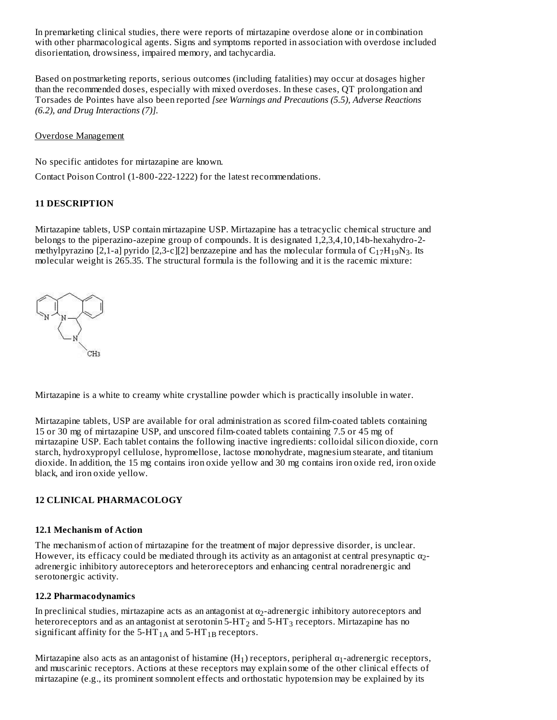In premarketing clinical studies, there were reports of mirtazapine overdose alone or in combination with other pharmacological agents. Signs and symptoms reported in association with overdose included disorientation, drowsiness, impaired memory, and tachycardia.

Based on postmarketing reports, serious outcomes (including fatalities) may occur at dosages higher than the recommended doses, especially with mixed overdoses. In these cases, QT prolongation and Torsades de Pointes have also been reported *[see Warnings and Precautions (5.5), Adverse Reactions (6.2), and Drug Interactions (7)].*

### Overdose Management

No specific antidotes for mirtazapine are known.

Contact Poison Control (1-800-222-1222) for the latest recommendations.

## **11 DESCRIPTION**

Mirtazapine tablets, USP contain mirtazapine USP. Mirtazapine has a tetracyclic chemical structure and belongs to the piperazino-azepine group of compounds. It is designated 1,2,3,4,10,14b-hexahydro-2 methylpyrazino [2,1-a] pyrido [2,3-c][2] benzazepine and has the molecular formula of  $\rm{C_{17}H_{19}N_3}$ . Its molecular weight is 265.35. The structural formula is the following and it is the racemic mixture:



Mirtazapine is a white to creamy white crystalline powder which is practically insoluble in water.

Mirtazapine tablets, USP are available for oral administration as scored film-coated tablets containing 15 or 30 mg of mirtazapine USP, and unscored film-coated tablets containing 7.5 or 45 mg of mirtazapine USP. Each tablet contains the following inactive ingredients: colloidal silicon dioxide, corn starch, hydroxypropyl cellulose, hypromellose, lactose monohydrate, magnesium stearate, and titanium dioxide. In addition, the 15 mg contains iron oxide yellow and 30 mg contains iron oxide red, iron oxide black, and iron oxide yellow.

## **12 CLINICAL PHARMACOLOGY**

## **12.1 Mechanism of Action**

The mechanism of action of mirtazapine for the treatment of major depressive disorder, is unclear. However, its efficacy could be mediated through its activity as an antagonist at central presynaptic  $\alpha_2$ adrenergic inhibitory autoreceptors and heteroreceptors and enhancing central noradrenergic and serotonergic activity.

## **12.2 Pharmacodynamics**

In preclinical studies, mirtazapine acts as an antagonist at  $\alpha_2$ -adrenergic inhibitory autoreceptors and heteroreceptors and as an antagonist at serotonin 5-HT $_{\rm 2}$  and 5-HT $_{\rm 3}$  receptors. Mirtazapine has no significant affinity for the 5-HT $_{\rm 1A}$  and 5-HT $_{\rm 1B}$  receptors.

Mirtazapine also acts as an antagonist of histamine (H<sub>1</sub>) receptors, peripheral  $\alpha_1$ -adrenergic receptors, and muscarinic receptors. Actions at these receptors may explain some of the other clinical effects of mirtazapine (e.g., its prominent somnolent effects and orthostatic hypotension may be explained by its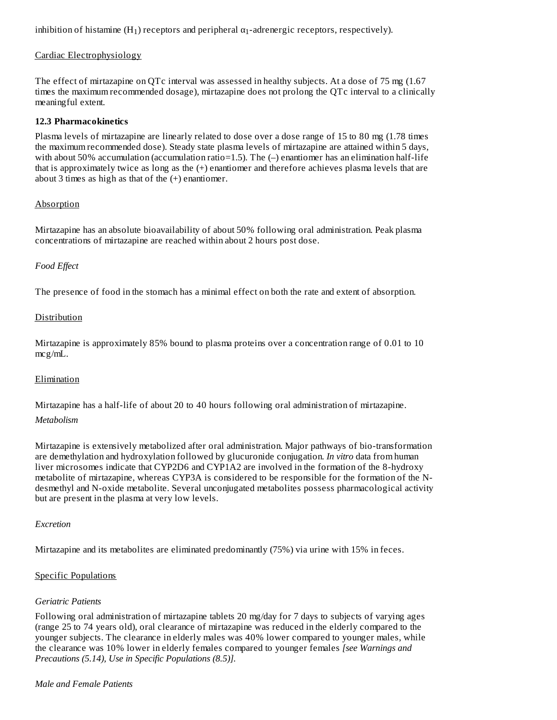inhibition of histamine (H<sub>1</sub>) receptors and peripheral  $\alpha_1$ -adrenergic receptors, respectively).

## Cardiac Electrophysiology

The effect of mirtazapine on QTc interval was assessed in healthy subjects. At a dose of 75 mg (1.67 times the maximum recommended dosage), mirtazapine does not prolong the QTc interval to a clinically meaningful extent.

#### **12.3 Pharmacokinetics**

Plasma levels of mirtazapine are linearly related to dose over a dose range of 15 to 80 mg (1.78 times the maximum recommended dose). Steady state plasma levels of mirtazapine are attained within 5 days, with about 50% accumulation (accumulation ratio=1.5). The (–) enantiomer has an elimination half-life that is approximately twice as long as the (+) enantiomer and therefore achieves plasma levels that are about 3 times as high as that of the (+) enantiomer.

#### Absorption

Mirtazapine has an absolute bioavailability of about 50% following oral administration. Peak plasma concentrations of mirtazapine are reached within about 2 hours post dose.

#### *Food Effect*

The presence of food in the stomach has a minimal effect on both the rate and extent of absorption.

## Distribution

Mirtazapine is approximately 85% bound to plasma proteins over a concentration range of 0.01 to 10 mcg/mL.

#### Elimination

Mirtazapine has a half-life of about 20 to 40 hours following oral administration of mirtazapine. *Metabolism*

#### Mirtazapine is extensively metabolized after oral administration. Major pathways of bio-transformation are demethylation and hydroxylation followed by glucuronide conjugation. *In vitro* data from human liver microsomes indicate that CYP2D6 and CYP1A2 are involved in the formation of the 8-hydroxy metabolite of mirtazapine, whereas CYP3A is considered to be responsible for the formation of the Ndesmethyl and N-oxide metabolite. Several unconjugated metabolites possess pharmacological activity but are present in the plasma at very low levels.

#### *Excretion*

Mirtazapine and its metabolites are eliminated predominantly (75%) via urine with 15% in feces.

#### Specific Populations

#### *Geriatric Patients*

Following oral administration of mirtazapine tablets 20 mg/day for 7 days to subjects of varying ages (range 25 to 74 years old), oral clearance of mirtazapine was reduced in the elderly compared to the younger subjects. The clearance in elderly males was 40% lower compared to younger males, while the clearance was 10% lower in elderly females compared to younger females *[see Warnings and Precautions (5.14), Use in Specific Populations (8.5)].*

#### *Male and Female Patients*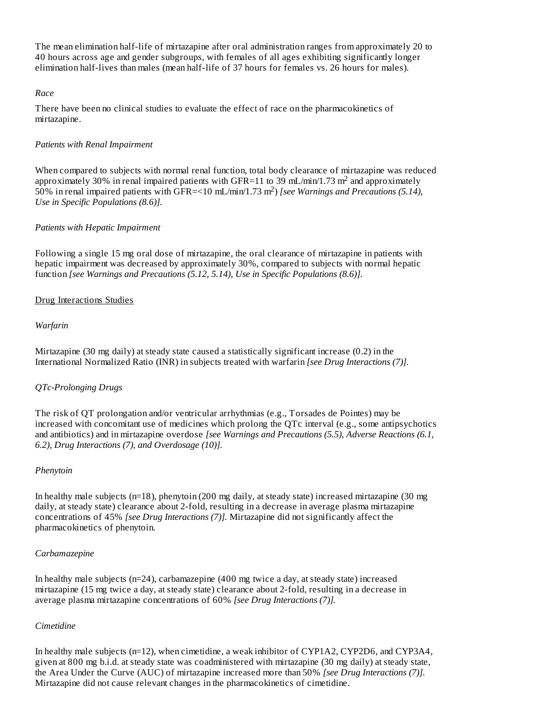The mean elimination half-life of mirtazapine after oral administration ranges from approximately 20 to 40 hours across age and gender subgroups, with females of all ages exhibiting significantly longer elimination half-lives than males (mean half-life of 37 hours for females vs. 26 hours for males).

### *Race*

There have been no clinical studies to evaluate the effect of race on the pharmacokinetics of mirtazapine.

## *Patients with Renal Impairment*

When compared to subjects with normal renal function, total body clearance of mirtazapine was reduced approximately 30% in renal impaired patients with GFR=11 to 39 mL/min/1.73 m<sup>2</sup> and approximately 50% in renal impaired patients with GFR=<10 mL/min/1.73 m<sup>2</sup>) [see Warnings and Precautions (5.14), *Use in Specific Populations (8.6)].*

## *Patients with Hepatic Impairment*

Following a single 15 mg oral dose of mirtazapine, the oral clearance of mirtazapine in patients with hepatic impairment was decreased by approximately 30%, compared to subjects with normal hepatic function *[see Warnings and Precautions (5.12, 5.14), Use in Specific Populations (8.6)].*

## Drug Interactions Studies

## *Warfarin*

Mirtazapine (30 mg daily) at steady state caused a statistically significant increase (0.2) in the International Normalized Ratio (INR) in subjects treated with warfarin *[see Drug Interactions (7)].*

## *QTc-Prolonging Drugs*

The risk of QT prolongation and/or ventricular arrhythmias (e.g., Torsades de Pointes) may be increased with concomitant use of medicines which prolong the QTc interval (e.g., some antipsychotics and antibiotics) and in mirtazapine overdose *[see Warnings and Precautions (5.5), Adverse Reactions (6.1, 6.2), Drug Interactions (7), and Overdosage (10)].*

#### *Phenytoin*

In healthy male subjects (n=18), phenytoin (200 mg daily, at steady state) increased mirtazapine (30 mg daily, at steady state) clearance about 2-fold, resulting in a decrease in average plasma mirtazapine concentrations of 45% *[see Drug Interactions (7)].* Mirtazapine did not significantly affect the pharmacokinetics of phenytoin.

#### *Carbamazepine*

In healthy male subjects (n=24), carbamazepine (400 mg twice a day, at steady state) increased mirtazapine (15 mg twice a day, at steady state) clearance about 2-fold, resulting in a decrease in average plasma mirtazapine concentrations of 60% *[see Drug Interactions (7)].*

#### *Cimetidine*

In healthy male subjects (n=12), when cimetidine, a weak inhibitor of CYP1A2, CYP2D6, and CYP3A4, given at 800 mg b.i.d. at steady state was coadministered with mirtazapine (30 mg daily) at steady state, the Area Under the Curve (AUC) of mirtazapine increased more than 50% *[see Drug Interactions (7)].* Mirtazapine did not cause relevant changes in the pharmacokinetics of cimetidine.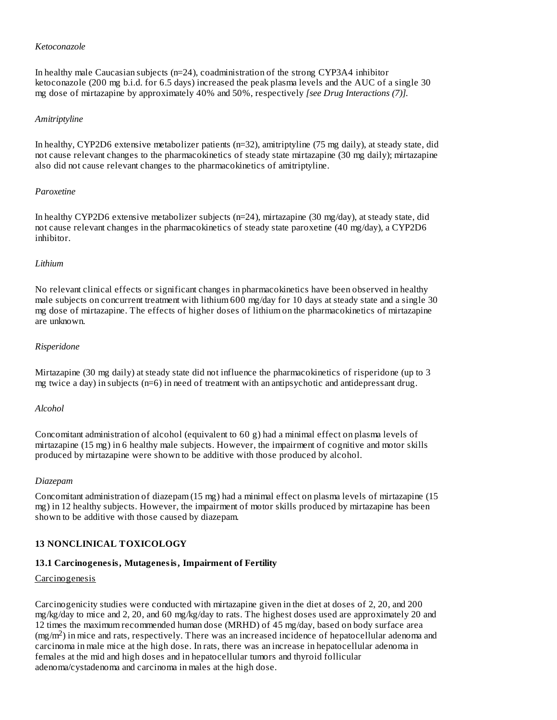#### *Ketoconazole*

In healthy male Caucasian subjects (n=24), coadministration of the strong CYP3A4 inhibitor ketoconazole (200 mg b.i.d. for 6.5 days) increased the peak plasma levels and the AUC of a single 30 mg dose of mirtazapine by approximately 40% and 50%, respectively *[see Drug Interactions (7)].*

#### *Amitriptyline*

In healthy, CYP2D6 extensive metabolizer patients (n=32), amitriptyline (75 mg daily), at steady state, did not cause relevant changes to the pharmacokinetics of steady state mirtazapine (30 mg daily); mirtazapine also did not cause relevant changes to the pharmacokinetics of amitriptyline.

#### *Paroxetine*

In healthy CYP2D6 extensive metabolizer subjects (n=24), mirtazapine (30 mg/day), at steady state, did not cause relevant changes in the pharmacokinetics of steady state paroxetine (40 mg/day), a CYP2D6 inhibitor.

#### *Lithium*

No relevant clinical effects or significant changes in pharmacokinetics have been observed in healthy male subjects on concurrent treatment with lithium 600 mg/day for 10 days at steady state and a single 30 mg dose of mirtazapine. The effects of higher doses of lithium on the pharmacokinetics of mirtazapine are unknown.

#### *Risperidone*

Mirtazapine (30 mg daily) at steady state did not influence the pharmacokinetics of risperidone (up to 3 mg twice a day) in subjects (n=6) in need of treatment with an antipsychotic and antidepressant drug.

#### *Alcohol*

Concomitant administration of alcohol (equivalent to 60 g) had a minimal effect on plasma levels of mirtazapine (15 mg) in 6 healthy male subjects. However, the impairment of cognitive and motor skills produced by mirtazapine were shown to be additive with those produced by alcohol.

#### *Diazepam*

Concomitant administration of diazepam (15 mg) had a minimal effect on plasma levels of mirtazapine (15 mg) in 12 healthy subjects. However, the impairment of motor skills produced by mirtazapine has been shown to be additive with those caused by diazepam.

#### **13 NONCLINICAL TOXICOLOGY**

#### **13.1 Carcinogenesis, Mutagenesis, Impairment of Fertility**

#### Carcinogenesis

Carcinogenicity studies were conducted with mirtazapine given in the diet at doses of 2, 20, and 200 mg/kg/day to mice and 2, 20, and 60 mg/kg/day to rats. The highest doses used are approximately 20 and 12 times the maximum recommended human dose (MRHD) of 45 mg/day, based on body surface area  $(mg/m<sup>2</sup>)$  in mice and rats, respectively. There was an increased incidence of hepatocellular adenoma and carcinoma in male mice at the high dose. In rats, there was an increase in hepatocellular adenoma in females at the mid and high doses and in hepatocellular tumors and thyroid follicular adenoma/cystadenoma and carcinoma in males at the high dose.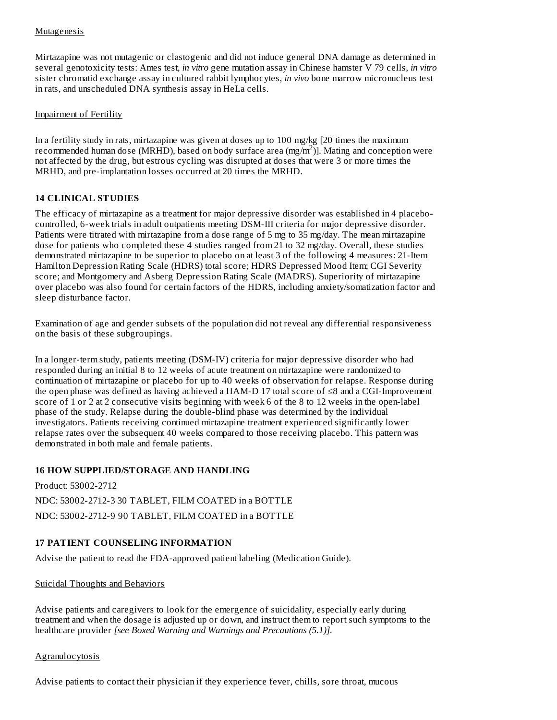## **Mutagenesis**

Mirtazapine was not mutagenic or clastogenic and did not induce general DNA damage as determined in several genotoxicity tests: Ames test, *in vitro* gene mutation assay in Chinese hamster V 79 cells, *in vitro* sister chromatid exchange assay in cultured rabbit lymphocytes, *in vivo* bone marrow micronucleus test in rats, and unscheduled DNA synthesis assay in HeLa cells.

#### Impairment of Fertility

In a fertility study in rats, mirtazapine was given at doses up to 100 mg/kg [20 times the maximum recommended human dose (MRHD), based on body surface area (mg/m<sup>2</sup>)]. Mating and conception were not affected by the drug, but estrous cycling was disrupted at doses that were 3 or more times the MRHD, and pre-implantation losses occurred at 20 times the MRHD.

## **14 CLINICAL STUDIES**

The efficacy of mirtazapine as a treatment for major depressive disorder was established in 4 placebocontrolled, 6-week trials in adult outpatients meeting DSM-III criteria for major depressive disorder. Patients were titrated with mirtazapine from a dose range of 5 mg to 35 mg/day. The mean mirtazapine dose for patients who completed these 4 studies ranged from 21 to 32 mg/day. Overall, these studies demonstrated mirtazapine to be superior to placebo on at least 3 of the following 4 measures: 21-Item Hamilton Depression Rating Scale (HDRS) total score; HDRS Depressed Mood Item; CGI Severity score; and Montgomery and Asberg Depression Rating Scale (MADRS). Superiority of mirtazapine over placebo was also found for certain factors of the HDRS, including anxiety/somatization factor and sleep disturbance factor.

Examination of age and gender subsets of the population did not reveal any differential responsiveness on the basis of these subgroupings.

In a longer-term study, patients meeting (DSM-IV) criteria for major depressive disorder who had responded during an initial 8 to 12 weeks of acute treatment on mirtazapine were randomized to continuation of mirtazapine or placebo for up to 40 weeks of observation for relapse. Response during the open phase was defined as having achieved a HAM-D 17 total score of ≤8 and a CGI-Improvement score of 1 or 2 at 2 consecutive visits beginning with week 6 of the 8 to 12 weeks in the open-label phase of the study. Relapse during the double-blind phase was determined by the individual investigators. Patients receiving continued mirtazapine treatment experienced significantly lower relapse rates over the subsequent 40 weeks compared to those receiving placebo. This pattern was demonstrated in both male and female patients.

## **16 HOW SUPPLIED/STORAGE AND HANDLING**

Product: 53002-2712 NDC: 53002-2712-3 30 TABLET, FILM COATED in a BOTTLE NDC: 53002-2712-9 90 TABLET, FILM COATED in a BOTTLE

# **17 PATIENT COUNSELING INFORMATION**

Advise the patient to read the FDA-approved patient labeling (Medication Guide).

## Suicidal Thoughts and Behaviors

Advise patients and caregivers to look for the emergence of suicidality, especially early during treatment and when the dosage is adjusted up or down, and instruct them to report such symptoms to the healthcare provider *[see Boxed Warning and Warnings and Precautions (5.1)].*

#### **Agranulocytosis**

Advise patients to contact their physician if they experience fever, chills, sore throat, mucous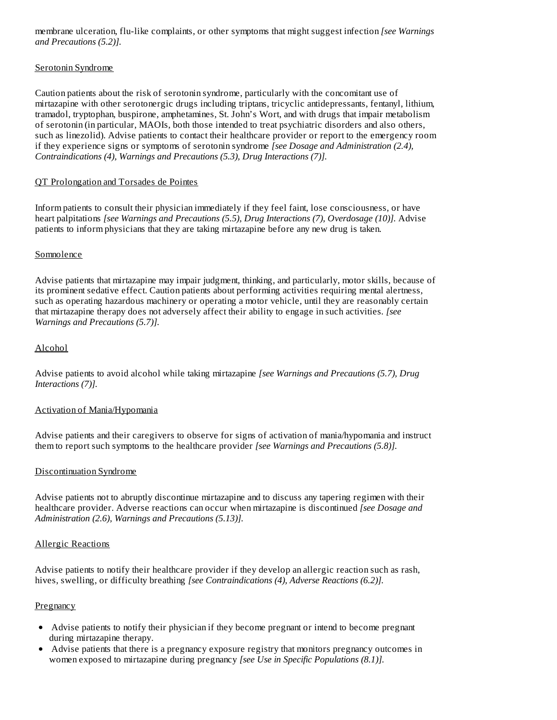membrane ulceration, flu-like complaints, or other symptoms that might suggest infection *[see Warnings and Precautions (5.2)].*

## Serotonin Syndrome

Caution patients about the risk of serotonin syndrome, particularly with the concomitant use of mirtazapine with other serotonergic drugs including triptans, tricyclic antidepressants, fentanyl, lithium, tramadol, tryptophan, buspirone, amphetamines, St. John's Wort, and with drugs that impair metabolism of serotonin (in particular, MAOIs, both those intended to treat psychiatric disorders and also others, such as linezolid). Advise patients to contact their healthcare provider or report to the emergency room if they experience signs or symptoms of serotonin syndrome *[see Dosage and Administration (2.4), Contraindications (4), Warnings and Precautions (5.3), Drug Interactions (7)].*

## QT Prolongation and Torsades de Pointes

Inform patients to consult their physician immediately if they feel faint, lose consciousness, or have heart palpitations *[see Warnings and Precautions (5.5), Drug Interactions (7), Overdosage (10)].* Advise patients to inform physicians that they are taking mirtazapine before any new drug is taken.

## Somnolence

Advise patients that mirtazapine may impair judgment, thinking, and particularly, motor skills, because of its prominent sedative effect. Caution patients about performing activities requiring mental alertness, such as operating hazardous machinery or operating a motor vehicle, until they are reasonably certain that mirtazapine therapy does not adversely affect their ability to engage in such activities*. [see Warnings and Precautions (5.7)].*

## Alcohol

Advise patients to avoid alcohol while taking mirtazapine *[see Warnings and Precautions (5.7), Drug Interactions (7)].*

## Activation of Mania/Hypomania

Advise patients and their caregivers to observe for signs of activation of mania/hypomania and instruct them to report such symptoms to the healthcare provider *[see Warnings and Precautions (5.8)].*

## Discontinuation Syndrome

Advise patients not to abruptly discontinue mirtazapine and to discuss any tapering regimen with their healthcare provider. Adverse reactions can occur when mirtazapine is discontinued *[see Dosage and Administration (2.6), Warnings and Precautions (5.13)].*

#### Allergic Reactions

Advise patients to notify their healthcare provider if they develop an allergic reaction such as rash, hives, swelling, or difficulty breathing *[see Contraindications (4), Adverse Reactions (6.2)].*

#### Pregnancy

- Advise patients to notify their physician if they become pregnant or intend to become pregnant during mirtazapine therapy.
- Advise patients that there is a pregnancy exposure registry that monitors pregnancy outcomes in women exposed to mirtazapine during pregnancy *[see Use in Specific Populations (8.1)].*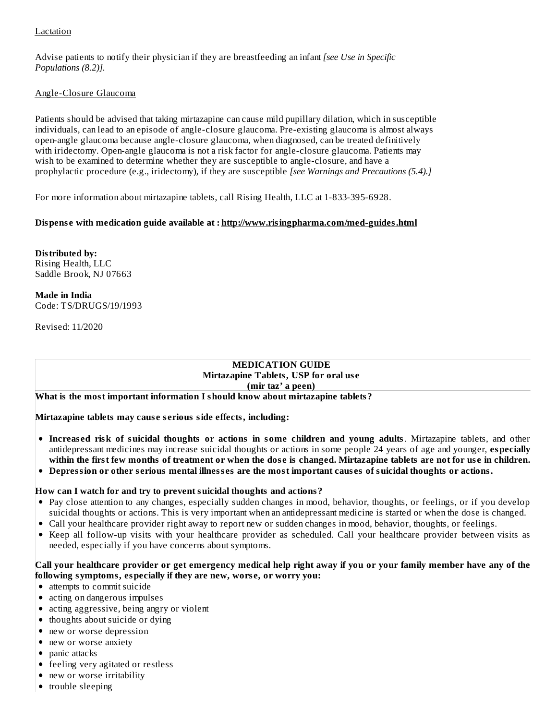## **Lactation**

Advise patients to notify their physician if they are breastfeeding an infant *[see Use in Specific Populations (8.2)].*

## Angle-Closure Glaucoma

Patients should be advised that taking mirtazapine can cause mild pupillary dilation, which in susceptible individuals, can lead to an episode of angle-closure glaucoma. Pre-existing glaucoma is almost always open-angle glaucoma because angle-closure glaucoma, when diagnosed, can be treated definitively with iridectomy. Open-angle glaucoma is not a risk factor for angle-closure glaucoma. Patients may wish to be examined to determine whether they are susceptible to angle-closure, and have a prophylactic procedure (e.g., iridectomy), if they are susceptible *[see Warnings and Precautions (5.4).]*

For more information about mirtazapine tablets, call Rising Health, LLC at 1-833-395-6928.

# **Dispens e with medication guide available at : http://www.risingpharma.com/med-guides.html**

**Distributed by:** Rising Health, LLC Saddle Brook, NJ 07663

**Made in India** Code: TS/DRUGS/19/1993

Revised: 11/2020

#### **MEDICATION GUIDE Mirtazapine Tablets, USP for oral us e (mir taz' a peen)**

**What is the most important information I should know about mirtazapine tablets?**

**Mirtazapine tablets may caus e s erious side effects, including:**

- **Increas ed risk of suicidal thoughts or actions in some children and young adults**. Mirtazapine tablets, and other antidepressant medicines may increase suicidal thoughts or actions in some people 24 years of age and younger, **especially** within the first few months of treatment or when the dose is changed. Mirtazapine tablets are not for use in children.
- Depression or other serious mental illnesses are the most important causes of suicidal thoughts or actions.

#### **How can I watch for and try to prevent suicidal thoughts and actions?**

- Pay close attention to any changes, especially sudden changes in mood, behavior, thoughts, or feelings, or if you develop suicidal thoughts or actions. This is very important when an antidepressant medicine is started or when the dose is changed.
- Call your healthcare provider right away to report new or sudden changes in mood, behavior, thoughts, or feelings.
- Keep all follow-up visits with your healthcare provider as scheduled. Call your healthcare provider between visits as needed, especially if you have concerns about symptoms.

## Call your healthcare provider or get emergency medical help right away if you or your family member have any of the **following symptoms, especially if they are new, wors e, or worry you:**

- attempts to commit suicide
- acting on dangerous impulses
- acting aggressive, being angry or violent
- thoughts about suicide or dying
- new or worse depression
- new or worse anxiety
- panic attacks
- feeling very agitated or restless
- new or worse irritability
- trouble sleeping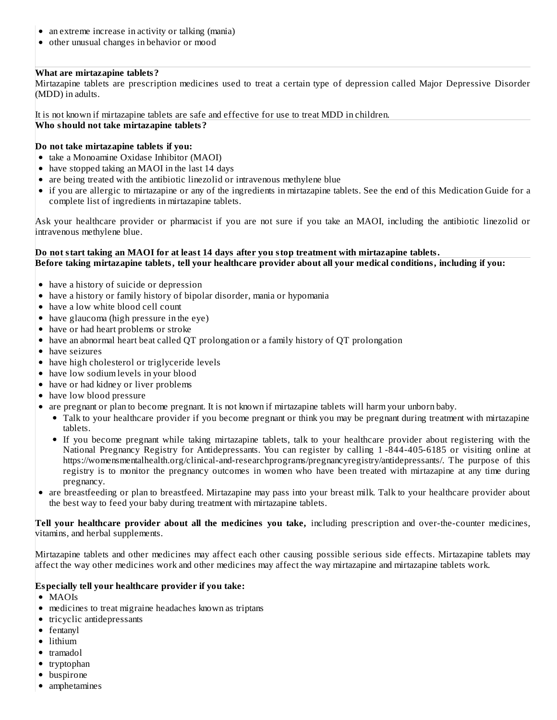- an extreme increase in activity or talking (mania)
- other unusual changes in behavior or mood

# **What are mirtazapine tablets?**

Mirtazapine tablets are prescription medicines used to treat a certain type of depression called Major Depressive Disorder (MDD) in adults.

It is not known if mirtazapine tablets are safe and effective for use to treat MDD in children. **Who should not take mirtazapine tablets?**

## **Do not take mirtazapine tablets if you:**

- take a Monoamine Oxidase Inhibitor (MAOI)
- have stopped taking an MAOI in the last 14 days
- are being treated with the antibiotic linezolid or intravenous methylene blue
- if you are allergic to mirtazapine or any of the ingredients in mirtazapine tablets. See the end of this Medication Guide for a complete list of ingredients in mirtazapine tablets.

Ask your healthcare provider or pharmacist if you are not sure if you take an MAOI, including the antibiotic linezolid or intravenous methylene blue.

## Do not start taking an MAOI for at least 14 days after you stop treatment with mirtazapine tablets. Before taking mirtazapine tablets, tell your healthcare provider about all your medical conditions, including if you:

- have a history of suicide or depression
- have a history or family history of bipolar disorder, mania or hypomania
- have a low white blood cell count
- have glaucoma (high pressure in the eye)
- have or had heart problems or stroke
- have an abnormal heart beat called QT prolongation or a family history of QT prolongation
- have seizures
- have high cholesterol or triglyceride levels
- have low sodium levels in your blood
- have or had kidney or liver problems
- have low blood pressure
- are pregnant or plan to become pregnant. It is not known if mirtazapine tablets will harm your unborn baby.
	- Talk to your healthcare provider if you become pregnant or think you may be pregnant during treatment with mirtazapine tablets.
	- If you become pregnant while taking mirtazapine tablets, talk to your healthcare provider about registering with the National Pregnancy Registry for Antidepressants. You can register by calling 1 -844-405-6185 or visiting online at https://womensmentalhealth.org/clinical-and-researchprograms/pregnancyregistry/antidepressants/. The purpose of this registry is to monitor the pregnancy outcomes in women who have been treated with mirtazapine at any time during pregnancy.
- are breastfeeding or plan to breastfeed. Mirtazapine may pass into your breast milk. Talk to your healthcare provider about the best way to feed your baby during treatment with mirtazapine tablets.

**Tell your healthcare provider about all the medicines you take,** including prescription and over-the-counter medicines, vitamins, and herbal supplements.

Mirtazapine tablets and other medicines may affect each other causing possible serious side effects. Mirtazapine tablets may affect the way other medicines work and other medicines may affect the way mirtazapine and mirtazapine tablets work.

## **Especially tell your healthcare provider if you take:**

- MAOIs
- medicines to treat migraine headaches known as triptans
- tricyclic antidepressants
- fentanyl
- lithium
- tramadol
- tryptophan
- buspirone
- amphetamines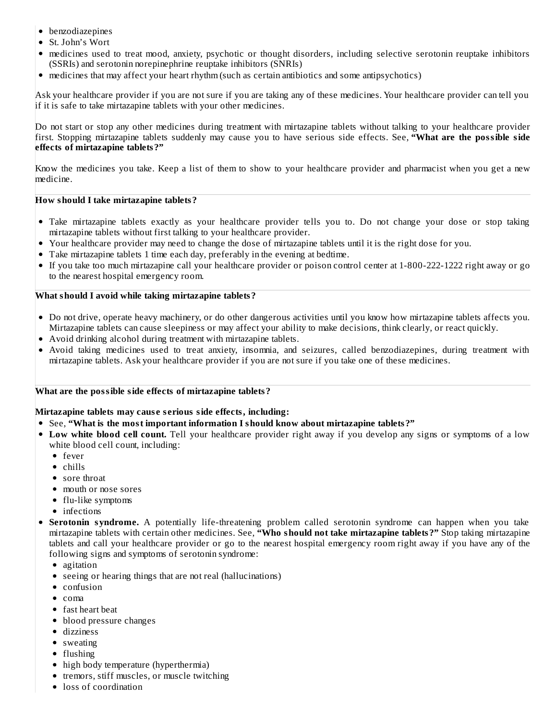- benzodiazepines
- St. John's Wort
- medicines used to treat mood, anxiety, psychotic or thought disorders, including selective serotonin reuptake inhibitors (SSRIs) and serotonin norepinephrine reuptake inhibitors (SNRIs)
- medicines that may affect your heart rhythm (such as certain antibiotics and some antipsychotics)

Ask your healthcare provider if you are not sure if you are taking any of these medicines. Your healthcare provider can tell you if it is safe to take mirtazapine tablets with your other medicines.

Do not start or stop any other medicines during treatment with mirtazapine tablets without talking to your healthcare provider first. Stopping mirtazapine tablets suddenly may cause you to have serious side effects. See, **"What are the possible side effects of mirtazapine tablets?"**

Know the medicines you take. Keep a list of them to show to your healthcare provider and pharmacist when you get a new medicine.

## **How should I take mirtazapine tablets?**

- Take mirtazapine tablets exactly as your healthcare provider tells you to. Do not change your dose or stop taking mirtazapine tablets without first talking to your healthcare provider.
- Your healthcare provider may need to change the dose of mirtazapine tablets until it is the right dose for you.
- Take mirtazapine tablets 1 time each day, preferably in the evening at bedtime.
- If you take too much mirtazapine call your healthcare provider or poison control center at 1-800-222-1222 right away or go to the nearest hospital emergency room.

## **What should I avoid while taking mirtazapine tablets?**

- Do not drive, operate heavy machinery, or do other dangerous activities until you know how mirtazapine tablets affects you. Mirtazapine tablets can cause sleepiness or may affect your ability to make decisions, think clearly, or react quickly.
- Avoid drinking alcohol during treatment with mirtazapine tablets.
- Avoid taking medicines used to treat anxiety, insomnia, and seizures, called benzodiazepines, during treatment with mirtazapine tablets. Ask your healthcare provider if you are not sure if you take one of these medicines.

## **What are the possible side effects of mirtazapine tablets?**

## **Mirtazapine tablets may caus e s erious side effects, including:**

- See, **"What is the most important information I should know about mirtazapine tablets?"**
- **Low white blood cell count.** Tell your healthcare provider right away if you develop any signs or symptoms of a low white blood cell count, including:
	- fever
	- chills
	- sore throat
	- mouth or nose sores
	- flu-like symptoms
	- infections
- **Serotonin syndrome.** A potentially life-threatening problem called serotonin syndrome can happen when you take mirtazapine tablets with certain other medicines. See, **"Who should not take mirtazapine tablets?"** Stop taking mirtazapine tablets and call your healthcare provider or go to the nearest hospital emergency room right away if you have any of the following signs and symptoms of serotonin syndrome:
	- agitation
	- seeing or hearing things that are not real (hallucinations)
	- confusion
	- $\bullet$  coma
	- fast heart beat
	- blood pressure changes
	- dizziness
	- sweating
	- $\bullet$  flushing
	- high body temperature (hyperthermia)
	- tremors, stiff muscles, or muscle twitching
	- loss of coordination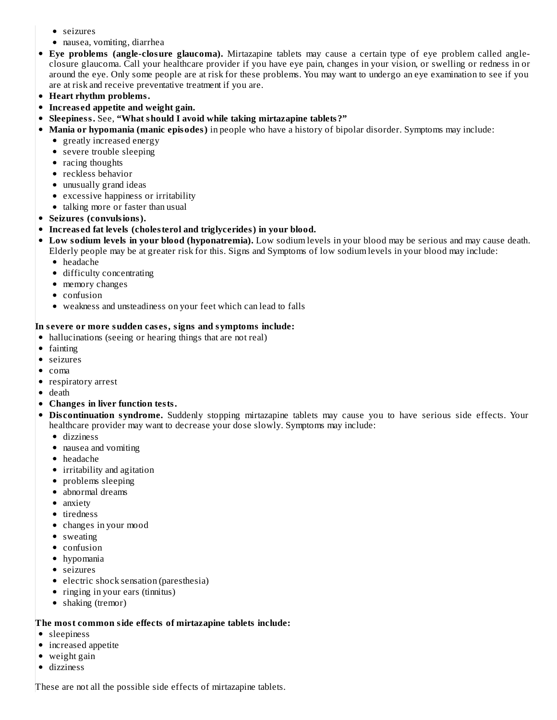- seizures
- nausea, vomiting, diarrhea
- **Eye problems (angle-closure glaucoma).** Mirtazapine tablets may cause a certain type of eye problem called angleclosure glaucoma. Call your healthcare provider if you have eye pain, changes in your vision, or swelling or redness in or around the eye. Only some people are at risk for these problems. You may want to undergo an eye examination to see if you are at risk and receive preventative treatment if you are.
- **Heart rhythm problems.**
- **Increas ed appetite and weight gain.**
- **Sleepiness.** See, **"What should I avoid while taking mirtazapine tablets?"**
- **Mania or hypomania (manic episodes)** in people who have a history of bipolar disorder. Symptoms may include:
	- greatly increased energy
	- severe trouble sleeping
	- racing thoughts
	- reckless behavior
	- unusually grand ideas
	- excessive happiness or irritability
	- talking more or faster than usual
- **Seizures (convulsions).**

# **Increas ed fat levels (cholesterol and triglycerides) in your blood.**

- **Low sodium levels in your blood (hyponatremia).** Low sodium levels in your blood may be serious and may cause death. Elderly people may be at greater risk for this. Signs and Symptoms of low sodium levels in your blood may include:
	- headache
	- difficulty concentrating
	- memory changes
	- confusion
	- weakness and unsteadiness on your feet which can lead to falls

# **In s evere or more sudden cas es, signs and symptoms include:**

- hallucinations (seeing or hearing things that are not real)
- fainting
- seizures
- $\bullet$  coma
- respiratory arrest
- death
- **Changes in liver function tests.**
- **Dis continuation syndrome.** Suddenly stopping mirtazapine tablets may cause you to have serious side effects. Your healthcare provider may want to decrease your dose slowly. Symptoms may include:
	- dizziness
	- nausea and vomiting
	- headache
	- irritability and agitation
	- problems sleeping
	- abnormal dreams
	- anxiety
	- tiredness
	- changes in your mood
	- sweating
	- confusion
	- hypomania
	- seizures
	- electric shock sensation (paresthesia)
	- ringing in your ears (tinnitus)
	- shaking (tremor)

# **The most common side effects of mirtazapine tablets include:**

- sleepiness
- increased appetite
- weight gain
- dizziness

These are not all the possible side effects of mirtazapine tablets.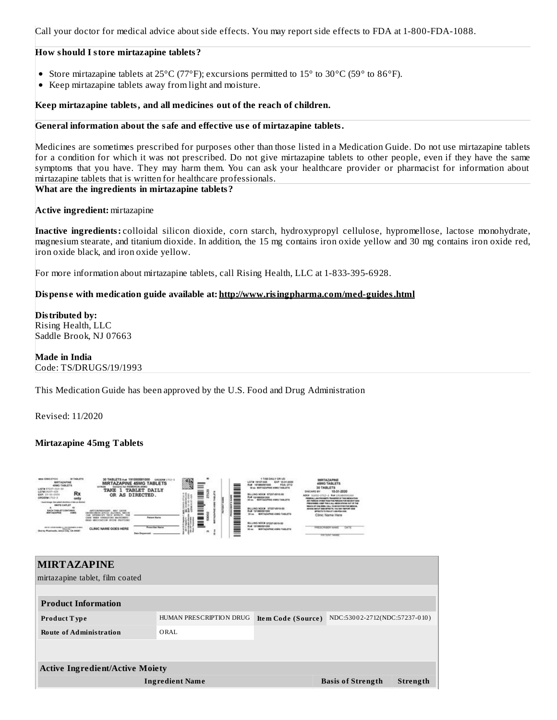Call your doctor for medical advice about side effects. You may report side effects to FDA at 1-800-FDA-1088.

### **How should I store mirtazapine tablets?**

- Store mirtazapine tablets at 25°C (77°F); excursions permitted to 15° to 30°C (59° to 86°F).
- Keep mirtazapine tablets away from light and moisture.

## **Keep mirtazapine tablets, and all medicines out of the reach of children.**

## **General information about the safe and effective us e of mirtazapine tablets.**

Medicines are sometimes prescribed for purposes other than those listed in a Medication Guide. Do not use mirtazapine tablets for a condition for which it was not prescribed. Do not give mirtazapine tablets to other people, even if they have the same symptoms that you have. They may harm them. You can ask your healthcare provider or pharmacist for information about mirtazapine tablets that is written for healthcare professionals.

## **What are the ingredients in mirtazapine tablets?**

## **Active ingredient:** mirtazapine

**Inactive ingredients:** colloidal silicon dioxide, corn starch, hydroxypropyl cellulose, hypromellose, lactose monohydrate, magnesium stearate, and titanium dioxide. In addition, the 15 mg contains iron oxide yellow and 30 mg contains iron oxide red, iron oxide black, and iron oxide yellow.

For more information about mirtazapine tablets, call Rising Health, LLC at 1-833-395-6928.

## **Dispens e with medication guide available at: http://www.risingpharma.com/med-guides.html**

**Distributed by:** Rising Health, LLC Saddle Brook, NJ 07663

## **Made in India** Code: TS/DRUGS/19/1993

This Medication Guide has been approved by the U.S. Food and Drug Administration

Revised: 11/2020

# **Mirtazapine 45mg Tablets**



# **MIRTAZAPINE** mirtazapine tablet, film coated **Product Information Product T ype** HUMAN PRESCRIPTION DRUG **Ite m Code (Source )** NDC:530 0 2-2712(NDC:57237-0 10 ) **Route of Administration** ORAL **Active Ingredient/Active Moiety Ingredient Name Basis of Strength Strength**